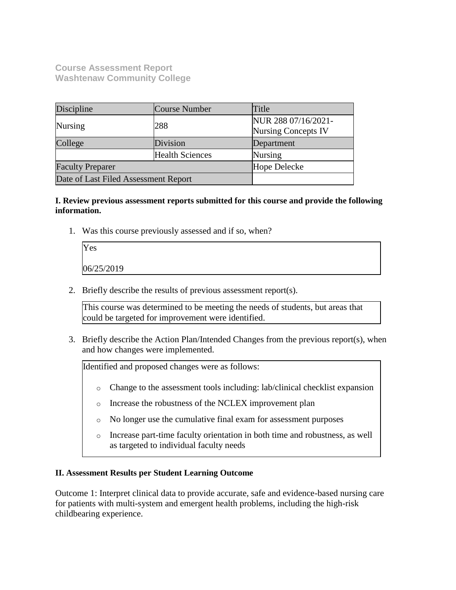**Course Assessment Report Washtenaw Community College**

| Discipline                           | Course Number          | Title                                             |
|--------------------------------------|------------------------|---------------------------------------------------|
| <b>Nursing</b>                       | 288                    | NUR 288 07/16/2021-<br><b>Nursing Concepts IV</b> |
| College                              | Division               | Department                                        |
|                                      | <b>Health Sciences</b> | Nursing                                           |
| <b>Faculty Preparer</b>              |                        | Hope Delecke                                      |
| Date of Last Filed Assessment Report |                        |                                                   |

## **I. Review previous assessment reports submitted for this course and provide the following information.**

1. Was this course previously assessed and if so, when?

| Yes        |  |  |
|------------|--|--|
| 06/25/2019 |  |  |

2. Briefly describe the results of previous assessment report(s).

This course was determined to be meeting the needs of students, but areas that could be targeted for improvement were identified.

3. Briefly describe the Action Plan/Intended Changes from the previous report(s), when and how changes were implemented.

Identified and proposed changes were as follows:

- o Change to the assessment tools including: lab/clinical checklist expansion
- o Increase the robustness of the NCLEX improvement plan
- o No longer use the cumulative final exam for assessment purposes
- o Increase part-time faculty orientation in both time and robustness, as well as targeted to individual faculty needs

#### **II. Assessment Results per Student Learning Outcome**

Outcome 1: Interpret clinical data to provide accurate, safe and evidence-based nursing care for patients with multi-system and emergent health problems, including the high-risk childbearing experience.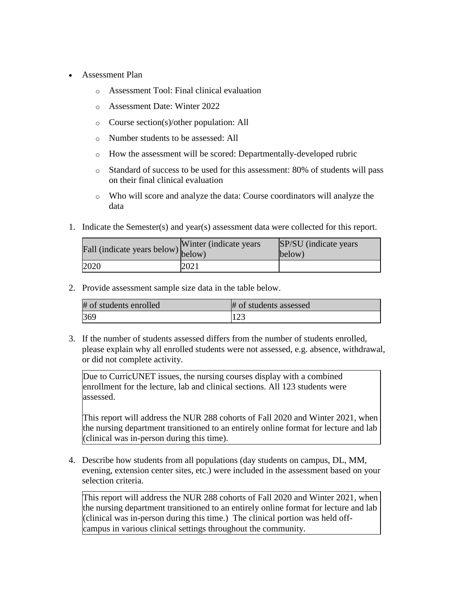- Assessment Plan
	- o Assessment Tool: Final clinical evaluation
	- o Assessment Date: Winter 2022
	- o Course section(s)/other population: All
	- o Number students to be assessed: All
	- o How the assessment will be scored: Departmentally-developed rubric
	- o Standard of success to be used for this assessment: 80% of students will pass on their final clinical evaluation
	- o Who will score and analyze the data: Course coordinators will analyze the data
- 1. Indicate the Semester(s) and year(s) assessment data were collected for this report.

| Fall (indicate years below) below) | Winter (indicate years) | SP/SU (indicate years)<br>below) |
|------------------------------------|-------------------------|----------------------------------|
| 2020                               | 2021                    |                                  |

| # of students enrolled | # of students assessed |
|------------------------|------------------------|
| 369                    | 123                    |

3. If the number of students assessed differs from the number of students enrolled, please explain why all enrolled students were not assessed, e.g. absence, withdrawal, or did not complete activity.

Due to CurricUNET issues, the nursing courses display with a combined enrollment for the lecture, lab and clinical sections. All 123 students were assessed.

This report will address the NUR 288 cohorts of Fall 2020 and Winter 2021, when the nursing department transitioned to an entirely online format for lecture and lab (clinical was in-person during this time).

4. Describe how students from all populations (day students on campus, DL, MM, evening, extension center sites, etc.) were included in the assessment based on your selection criteria.

This report will address the NUR 288 cohorts of Fall 2020 and Winter 2021, when the nursing department transitioned to an entirely online format for lecture and lab (clinical was in-person during this time.) The clinical portion was held offcampus in various clinical settings throughout the community.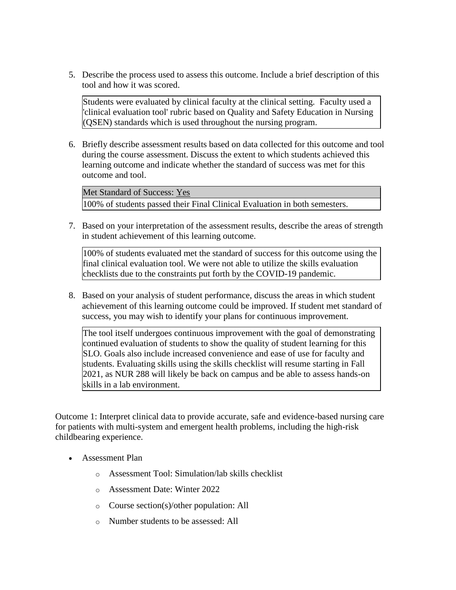5. Describe the process used to assess this outcome. Include a brief description of this tool and how it was scored.

Students were evaluated by clinical faculty at the clinical setting. Faculty used a 'clinical evaluation tool' rubric based on Quality and Safety Education in Nursing (QSEN) standards which is used throughout the nursing program.

6. Briefly describe assessment results based on data collected for this outcome and tool during the course assessment. Discuss the extent to which students achieved this learning outcome and indicate whether the standard of success was met for this outcome and tool.

Met Standard of Success: Yes 100% of students passed their Final Clinical Evaluation in both semesters.

7. Based on your interpretation of the assessment results, describe the areas of strength in student achievement of this learning outcome.

100% of students evaluated met the standard of success for this outcome using the final clinical evaluation tool. We were not able to utilize the skills evaluation checklists due to the constraints put forth by the COVID-19 pandemic.

8. Based on your analysis of student performance, discuss the areas in which student achievement of this learning outcome could be improved. If student met standard of success, you may wish to identify your plans for continuous improvement.

The tool itself undergoes continuous improvement with the goal of demonstrating continued evaluation of students to show the quality of student learning for this SLO. Goals also include increased convenience and ease of use for faculty and students. Evaluating skills using the skills checklist will resume starting in Fall 2021, as NUR 288 will likely be back on campus and be able to assess hands-on skills in a lab environment.

Outcome 1: Interpret clinical data to provide accurate, safe and evidence-based nursing care for patients with multi-system and emergent health problems, including the high-risk childbearing experience.

- Assessment Plan
	- o Assessment Tool: Simulation/lab skills checklist
	- o Assessment Date: Winter 2022
	- o Course section(s)/other population: All
	- o Number students to be assessed: All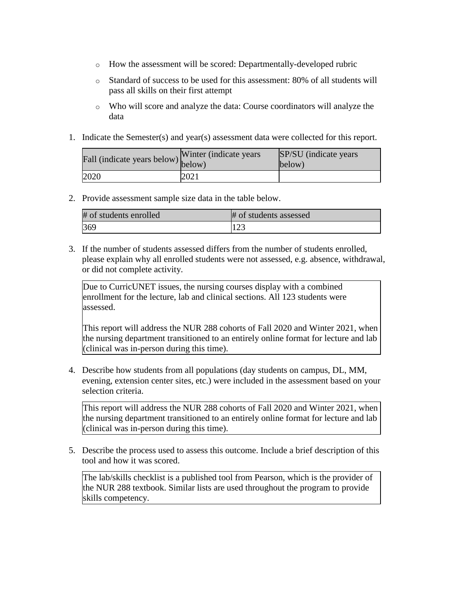- o How the assessment will be scored: Departmentally-developed rubric
- o Standard of success to be used for this assessment: 80% of all students will pass all skills on their first attempt
- o Who will score and analyze the data: Course coordinators will analyze the data
- 1. Indicate the Semester(s) and year(s) assessment data were collected for this report.

| rall (indicate years below) below) | Winter (indicate years | SP/SU (indicate years)<br>below) |
|------------------------------------|------------------------|----------------------------------|
| 2020                               | 2021                   |                                  |

| # of students enrolled | # of students assessed |
|------------------------|------------------------|
| 369                    |                        |

3. If the number of students assessed differs from the number of students enrolled, please explain why all enrolled students were not assessed, e.g. absence, withdrawal, or did not complete activity.

Due to CurricUNET issues, the nursing courses display with a combined enrollment for the lecture, lab and clinical sections. All 123 students were assessed.

This report will address the NUR 288 cohorts of Fall 2020 and Winter 2021, when the nursing department transitioned to an entirely online format for lecture and lab (clinical was in-person during this time).

4. Describe how students from all populations (day students on campus, DL, MM, evening, extension center sites, etc.) were included in the assessment based on your selection criteria.

This report will address the NUR 288 cohorts of Fall 2020 and Winter 2021, when the nursing department transitioned to an entirely online format for lecture and lab (clinical was in-person during this time).

5. Describe the process used to assess this outcome. Include a brief description of this tool and how it was scored.

The lab/skills checklist is a published tool from Pearson, which is the provider of the NUR 288 textbook. Similar lists are used throughout the program to provide skills competency.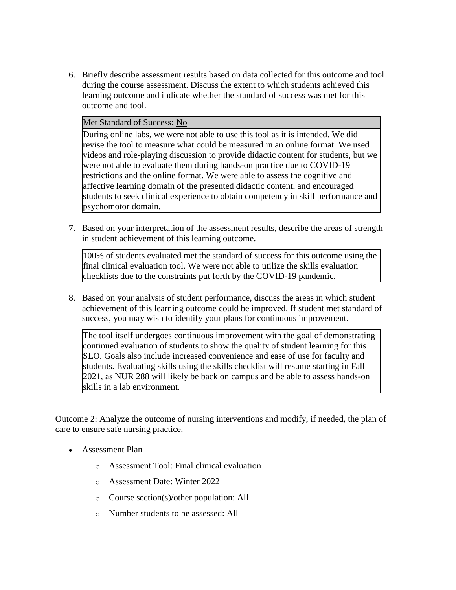6. Briefly describe assessment results based on data collected for this outcome and tool during the course assessment. Discuss the extent to which students achieved this learning outcome and indicate whether the standard of success was met for this outcome and tool.

#### Met Standard of Success: No

During online labs, we were not able to use this tool as it is intended. We did revise the tool to measure what could be measured in an online format. We used videos and role-playing discussion to provide didactic content for students, but we were not able to evaluate them during hands-on practice due to COVID-19 restrictions and the online format. We were able to assess the cognitive and affective learning domain of the presented didactic content, and encouraged students to seek clinical experience to obtain competency in skill performance and psychomotor domain.

7. Based on your interpretation of the assessment results, describe the areas of strength in student achievement of this learning outcome.

100% of students evaluated met the standard of success for this outcome using the final clinical evaluation tool. We were not able to utilize the skills evaluation checklists due to the constraints put forth by the COVID-19 pandemic.

8. Based on your analysis of student performance, discuss the areas in which student achievement of this learning outcome could be improved. If student met standard of success, you may wish to identify your plans for continuous improvement.

The tool itself undergoes continuous improvement with the goal of demonstrating continued evaluation of students to show the quality of student learning for this SLO. Goals also include increased convenience and ease of use for faculty and students. Evaluating skills using the skills checklist will resume starting in Fall 2021, as NUR 288 will likely be back on campus and be able to assess hands-on skills in a lab environment.

Outcome 2: Analyze the outcome of nursing interventions and modify, if needed, the plan of care to ensure safe nursing practice.

- Assessment Plan
	- o Assessment Tool: Final clinical evaluation
	- o Assessment Date: Winter 2022
	- o Course section(s)/other population: All
	- o Number students to be assessed: All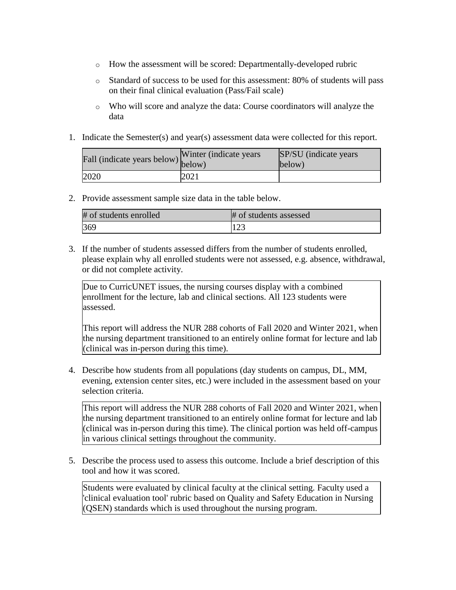- o How the assessment will be scored: Departmentally-developed rubric
- o Standard of success to be used for this assessment: 80% of students will pass on their final clinical evaluation (Pass/Fail scale)
- o Who will score and analyze the data: Course coordinators will analyze the data
- 1. Indicate the Semester(s) and year(s) assessment data were collected for this report.

| rall (indicate years below) below) | Winter (indicate years | SP/SU (indicate years)<br>below) |
|------------------------------------|------------------------|----------------------------------|
| 2020                               | 2021                   |                                  |

| # of students enrolled | # of students assessed |
|------------------------|------------------------|
| 369                    | $1 \cap$<br>12J        |

3. If the number of students assessed differs from the number of students enrolled, please explain why all enrolled students were not assessed, e.g. absence, withdrawal, or did not complete activity.

Due to CurricUNET issues, the nursing courses display with a combined enrollment for the lecture, lab and clinical sections. All 123 students were assessed.

This report will address the NUR 288 cohorts of Fall 2020 and Winter 2021, when the nursing department transitioned to an entirely online format for lecture and lab (clinical was in-person during this time).

4. Describe how students from all populations (day students on campus, DL, MM, evening, extension center sites, etc.) were included in the assessment based on your selection criteria.

This report will address the NUR 288 cohorts of Fall 2020 and Winter 2021, when the nursing department transitioned to an entirely online format for lecture and lab (clinical was in-person during this time). The clinical portion was held off-campus in various clinical settings throughout the community.

5. Describe the process used to assess this outcome. Include a brief description of this tool and how it was scored.

Students were evaluated by clinical faculty at the clinical setting. Faculty used a 'clinical evaluation tool' rubric based on Quality and Safety Education in Nursing (QSEN) standards which is used throughout the nursing program.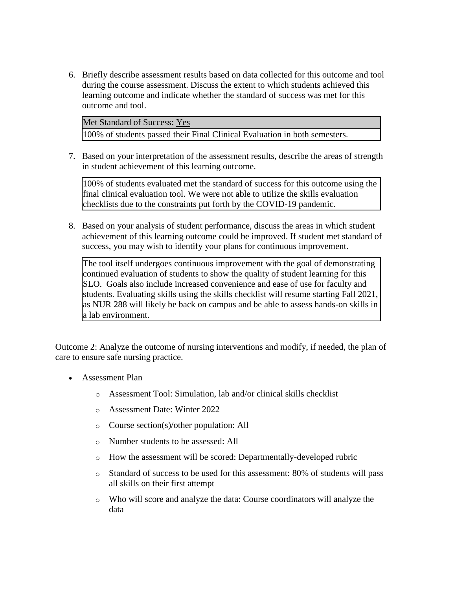6. Briefly describe assessment results based on data collected for this outcome and tool during the course assessment. Discuss the extent to which students achieved this learning outcome and indicate whether the standard of success was met for this outcome and tool.

Met Standard of Success: Yes 100% of students passed their Final Clinical Evaluation in both semesters.

7. Based on your interpretation of the assessment results, describe the areas of strength in student achievement of this learning outcome.

100% of students evaluated met the standard of success for this outcome using the final clinical evaluation tool. We were not able to utilize the skills evaluation checklists due to the constraints put forth by the COVID-19 pandemic.

8. Based on your analysis of student performance, discuss the areas in which student achievement of this learning outcome could be improved. If student met standard of success, you may wish to identify your plans for continuous improvement.

The tool itself undergoes continuous improvement with the goal of demonstrating continued evaluation of students to show the quality of student learning for this SLO. Goals also include increased convenience and ease of use for faculty and students. Evaluating skills using the skills checklist will resume starting Fall 2021, as NUR 288 will likely be back on campus and be able to assess hands-on skills in a lab environment.

Outcome 2: Analyze the outcome of nursing interventions and modify, if needed, the plan of care to ensure safe nursing practice.

- Assessment Plan
	- o Assessment Tool: Simulation, lab and/or clinical skills checklist
	- o Assessment Date: Winter 2022
	- o Course section(s)/other population: All
	- o Number students to be assessed: All
	- o How the assessment will be scored: Departmentally-developed rubric
	- o Standard of success to be used for this assessment: 80% of students will pass all skills on their first attempt
	- o Who will score and analyze the data: Course coordinators will analyze the data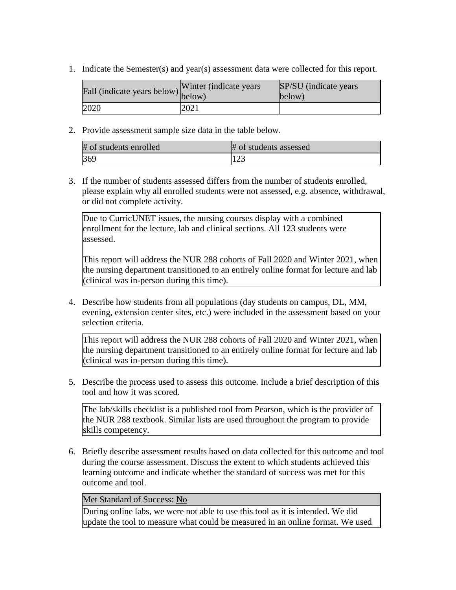1. Indicate the Semester(s) and year(s) assessment data were collected for this report.

| rall (indicate years below) below) | Winter (indicate years) | SP/SU (indicate years)<br>below) |
|------------------------------------|-------------------------|----------------------------------|
| 2020                               | 2021                    |                                  |

2. Provide assessment sample size data in the table below.

| # of students enrolled | # of students assessed   |
|------------------------|--------------------------|
| 369                    | $1 \cap$<br>$\mathbf{L}$ |

3. If the number of students assessed differs from the number of students enrolled, please explain why all enrolled students were not assessed, e.g. absence, withdrawal, or did not complete activity.

Due to CurricUNET issues, the nursing courses display with a combined enrollment for the lecture, lab and clinical sections. All 123 students were assessed.

This report will address the NUR 288 cohorts of Fall 2020 and Winter 2021, when the nursing department transitioned to an entirely online format for lecture and lab (clinical was in-person during this time).

4. Describe how students from all populations (day students on campus, DL, MM, evening, extension center sites, etc.) were included in the assessment based on your selection criteria.

This report will address the NUR 288 cohorts of Fall 2020 and Winter 2021, when the nursing department transitioned to an entirely online format for lecture and lab (clinical was in-person during this time).

5. Describe the process used to assess this outcome. Include a brief description of this tool and how it was scored.

The lab/skills checklist is a published tool from Pearson, which is the provider of the NUR 288 textbook. Similar lists are used throughout the program to provide skills competency.

6. Briefly describe assessment results based on data collected for this outcome and tool during the course assessment. Discuss the extent to which students achieved this learning outcome and indicate whether the standard of success was met for this outcome and tool.

## Met Standard of Success: No

During online labs, we were not able to use this tool as it is intended. We did update the tool to measure what could be measured in an online format. We used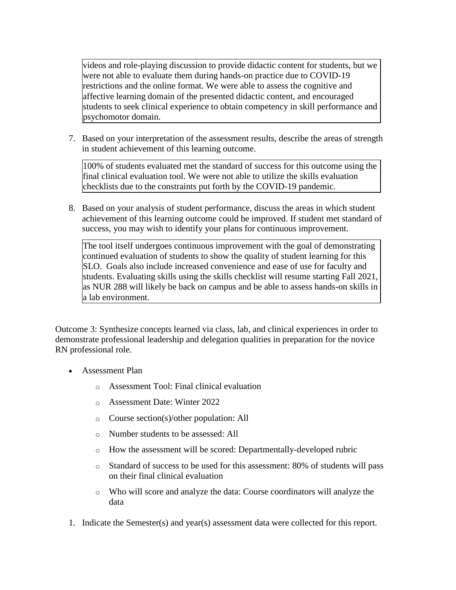videos and role-playing discussion to provide didactic content for students, but we were not able to evaluate them during hands-on practice due to COVID-19 restrictions and the online format. We were able to assess the cognitive and affective learning domain of the presented didactic content, and encouraged students to seek clinical experience to obtain competency in skill performance and psychomotor domain.

7. Based on your interpretation of the assessment results, describe the areas of strength in student achievement of this learning outcome.

100% of students evaluated met the standard of success for this outcome using the final clinical evaluation tool. We were not able to utilize the skills evaluation checklists due to the constraints put forth by the COVID-19 pandemic.

8. Based on your analysis of student performance, discuss the areas in which student achievement of this learning outcome could be improved. If student met standard of success, you may wish to identify your plans for continuous improvement.

The tool itself undergoes continuous improvement with the goal of demonstrating continued evaluation of students to show the quality of student learning for this SLO. Goals also include increased convenience and ease of use for faculty and students. Evaluating skills using the skills checklist will resume starting Fall 2021, as NUR 288 will likely be back on campus and be able to assess hands-on skills in a lab environment.

Outcome 3: Synthesize concepts learned via class, lab, and clinical experiences in order to demonstrate professional leadership and delegation qualities in preparation for the novice RN professional role.

- Assessment Plan
	- o Assessment Tool: Final clinical evaluation
	- o Assessment Date: Winter 2022
	- o Course section(s)/other population: All
	- o Number students to be assessed: All
	- o How the assessment will be scored: Departmentally-developed rubric
	- o Standard of success to be used for this assessment: 80% of students will pass on their final clinical evaluation
	- o Who will score and analyze the data: Course coordinators will analyze the data
- 1. Indicate the Semester(s) and year(s) assessment data were collected for this report.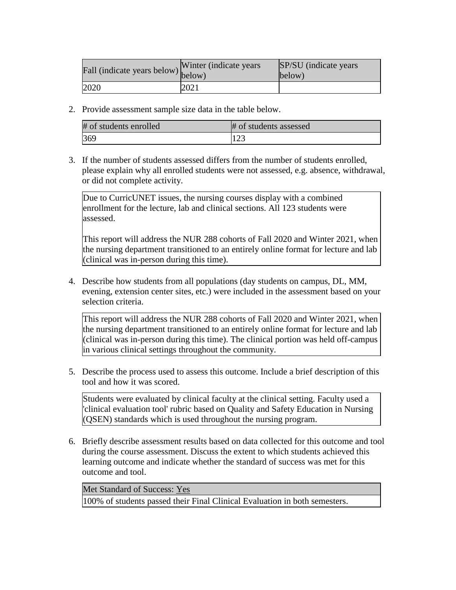| Fall (indicate years below) below) | Winter (indicate years) | SP/SU (indicate years)<br>below) |
|------------------------------------|-------------------------|----------------------------------|
| 2020                               | 2021                    |                                  |

| # of students enrolled | # of students assessed |
|------------------------|------------------------|
| 369                    | $1 \cap \Omega$        |

3. If the number of students assessed differs from the number of students enrolled, please explain why all enrolled students were not assessed, e.g. absence, withdrawal, or did not complete activity.

Due to CurricUNET issues, the nursing courses display with a combined enrollment for the lecture, lab and clinical sections. All 123 students were assessed.

This report will address the NUR 288 cohorts of Fall 2020 and Winter 2021, when the nursing department transitioned to an entirely online format for lecture and lab (clinical was in-person during this time).

4. Describe how students from all populations (day students on campus, DL, MM, evening, extension center sites, etc.) were included in the assessment based on your selection criteria.

This report will address the NUR 288 cohorts of Fall 2020 and Winter 2021, when the nursing department transitioned to an entirely online format for lecture and lab (clinical was in-person during this time). The clinical portion was held off-campus in various clinical settings throughout the community.

5. Describe the process used to assess this outcome. Include a brief description of this tool and how it was scored.

Students were evaluated by clinical faculty at the clinical setting. Faculty used a 'clinical evaluation tool' rubric based on Quality and Safety Education in Nursing (QSEN) standards which is used throughout the nursing program.

6. Briefly describe assessment results based on data collected for this outcome and tool during the course assessment. Discuss the extent to which students achieved this learning outcome and indicate whether the standard of success was met for this outcome and tool.

Met Standard of Success: Yes

100% of students passed their Final Clinical Evaluation in both semesters.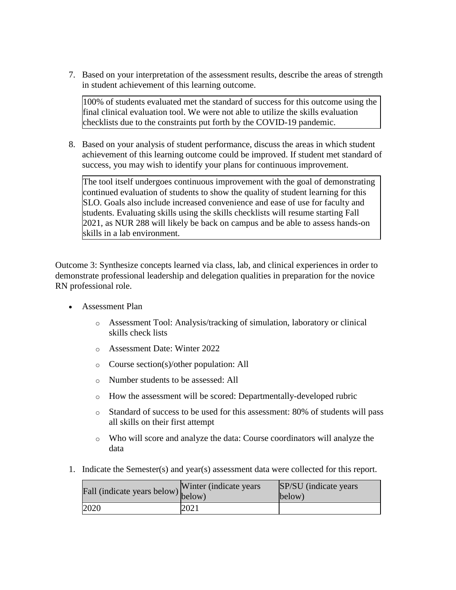7. Based on your interpretation of the assessment results, describe the areas of strength in student achievement of this learning outcome.

100% of students evaluated met the standard of success for this outcome using the final clinical evaluation tool. We were not able to utilize the skills evaluation checklists due to the constraints put forth by the COVID-19 pandemic.

8. Based on your analysis of student performance, discuss the areas in which student achievement of this learning outcome could be improved. If student met standard of success, you may wish to identify your plans for continuous improvement.

The tool itself undergoes continuous improvement with the goal of demonstrating continued evaluation of students to show the quality of student learning for this SLO. Goals also include increased convenience and ease of use for faculty and students. Evaluating skills using the skills checklists will resume starting Fall 2021, as NUR 288 will likely be back on campus and be able to assess hands-on skills in a lab environment.

Outcome 3: Synthesize concepts learned via class, lab, and clinical experiences in order to demonstrate professional leadership and delegation qualities in preparation for the novice RN professional role.

- Assessment Plan
	- o Assessment Tool: Analysis/tracking of simulation, laboratory or clinical skills check lists
	- o Assessment Date: Winter 2022
	- o Course section(s)/other population: All
	- o Number students to be assessed: All
	- o How the assessment will be scored: Departmentally-developed rubric
	- o Standard of success to be used for this assessment: 80% of students will pass all skills on their first attempt
	- o Who will score and analyze the data: Course coordinators will analyze the data
- 1. Indicate the Semester(s) and year(s) assessment data were collected for this report.

| rall (indicate years below) below) | Winter (indicate years) | SP/SU (indicate years)<br>below) |
|------------------------------------|-------------------------|----------------------------------|
| 2020                               | 2021                    |                                  |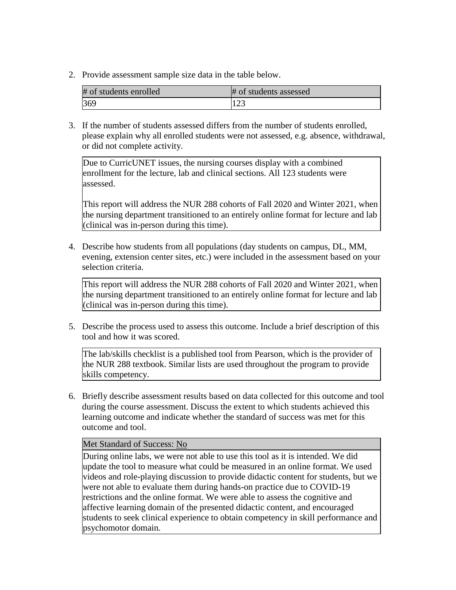| # of students enrolled | # of students assessed |
|------------------------|------------------------|
| 369                    | $L \sim 1$             |

3. If the number of students assessed differs from the number of students enrolled, please explain why all enrolled students were not assessed, e.g. absence, withdrawal, or did not complete activity.

Due to CurricUNET issues, the nursing courses display with a combined enrollment for the lecture, lab and clinical sections. All 123 students were assessed.

This report will address the NUR 288 cohorts of Fall 2020 and Winter 2021, when the nursing department transitioned to an entirely online format for lecture and lab (clinical was in-person during this time).

4. Describe how students from all populations (day students on campus, DL, MM, evening, extension center sites, etc.) were included in the assessment based on your selection criteria.

This report will address the NUR 288 cohorts of Fall 2020 and Winter 2021, when the nursing department transitioned to an entirely online format for lecture and lab (clinical was in-person during this time).

5. Describe the process used to assess this outcome. Include a brief description of this tool and how it was scored.

The lab/skills checklist is a published tool from Pearson, which is the provider of the NUR 288 textbook. Similar lists are used throughout the program to provide skills competency.

6. Briefly describe assessment results based on data collected for this outcome and tool during the course assessment. Discuss the extent to which students achieved this learning outcome and indicate whether the standard of success was met for this outcome and tool.

## Met Standard of Success: No

During online labs, we were not able to use this tool as it is intended. We did update the tool to measure what could be measured in an online format. We used videos and role-playing discussion to provide didactic content for students, but we were not able to evaluate them during hands-on practice due to COVID-19 restrictions and the online format. We were able to assess the cognitive and affective learning domain of the presented didactic content, and encouraged students to seek clinical experience to obtain competency in skill performance and psychomotor domain.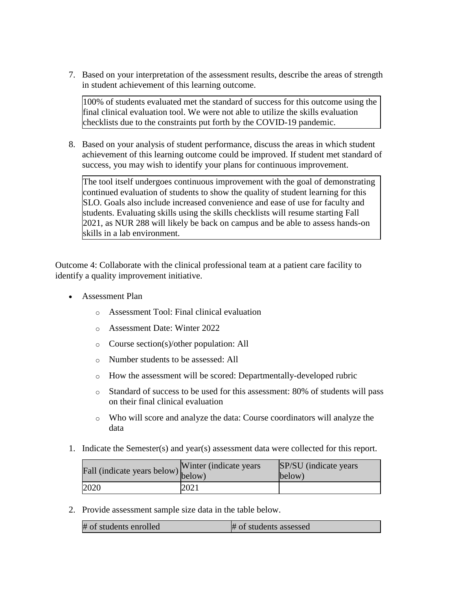7. Based on your interpretation of the assessment results, describe the areas of strength in student achievement of this learning outcome.

100% of students evaluated met the standard of success for this outcome using the final clinical evaluation tool. We were not able to utilize the skills evaluation checklists due to the constraints put forth by the COVID-19 pandemic.

8. Based on your analysis of student performance, discuss the areas in which student achievement of this learning outcome could be improved. If student met standard of success, you may wish to identify your plans for continuous improvement.

The tool itself undergoes continuous improvement with the goal of demonstrating continued evaluation of students to show the quality of student learning for this SLO. Goals also include increased convenience and ease of use for faculty and students. Evaluating skills using the skills checklists will resume starting Fall 2021, as NUR 288 will likely be back on campus and be able to assess hands-on skills in a lab environment.

Outcome 4: Collaborate with the clinical professional team at a patient care facility to identify a quality improvement initiative.

- Assessment Plan
	- o Assessment Tool: Final clinical evaluation
	- o Assessment Date: Winter 2022
	- o Course section(s)/other population: All
	- o Number students to be assessed: All
	- o How the assessment will be scored: Departmentally-developed rubric
	- o Standard of success to be used for this assessment: 80% of students will pass on their final clinical evaluation
	- o Who will score and analyze the data: Course coordinators will analyze the data
- 1. Indicate the Semester(s) and year(s) assessment data were collected for this report.

| Fall (indicate years below) below) | Winter (indicate years) | SP/SU (indicate years)<br>below) |
|------------------------------------|-------------------------|----------------------------------|
| 2020                               | 2021                    |                                  |

2. Provide assessment sample size data in the table below.

| # of students enrolled | # of students assessed |
|------------------------|------------------------|
|                        |                        |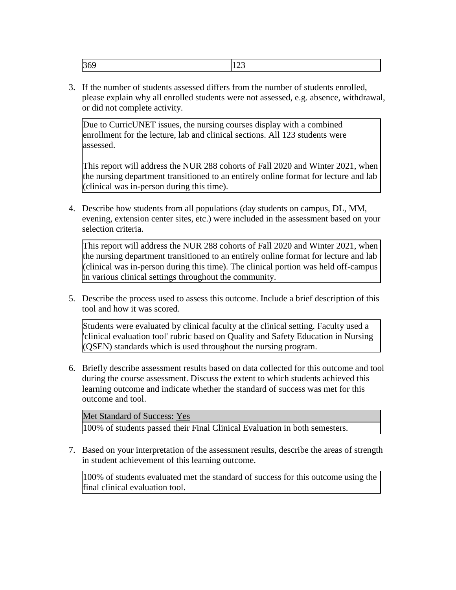| $\sim$ | ---- |
|--------|------|
|--------|------|

3. If the number of students assessed differs from the number of students enrolled, please explain why all enrolled students were not assessed, e.g. absence, withdrawal, or did not complete activity.

Due to CurricUNET issues, the nursing courses display with a combined enrollment for the lecture, lab and clinical sections. All 123 students were assessed.

This report will address the NUR 288 cohorts of Fall 2020 and Winter 2021, when the nursing department transitioned to an entirely online format for lecture and lab (clinical was in-person during this time).

4. Describe how students from all populations (day students on campus, DL, MM, evening, extension center sites, etc.) were included in the assessment based on your selection criteria.

This report will address the NUR 288 cohorts of Fall 2020 and Winter 2021, when the nursing department transitioned to an entirely online format for lecture and lab (clinical was in-person during this time). The clinical portion was held off-campus in various clinical settings throughout the community.

5. Describe the process used to assess this outcome. Include a brief description of this tool and how it was scored.

Students were evaluated by clinical faculty at the clinical setting. Faculty used a 'clinical evaluation tool' rubric based on Quality and Safety Education in Nursing (QSEN) standards which is used throughout the nursing program.

6. Briefly describe assessment results based on data collected for this outcome and tool during the course assessment. Discuss the extent to which students achieved this learning outcome and indicate whether the standard of success was met for this outcome and tool.

Met Standard of Success: Yes 100% of students passed their Final Clinical Evaluation in both semesters.

7. Based on your interpretation of the assessment results, describe the areas of strength in student achievement of this learning outcome.

100% of students evaluated met the standard of success for this outcome using the final clinical evaluation tool.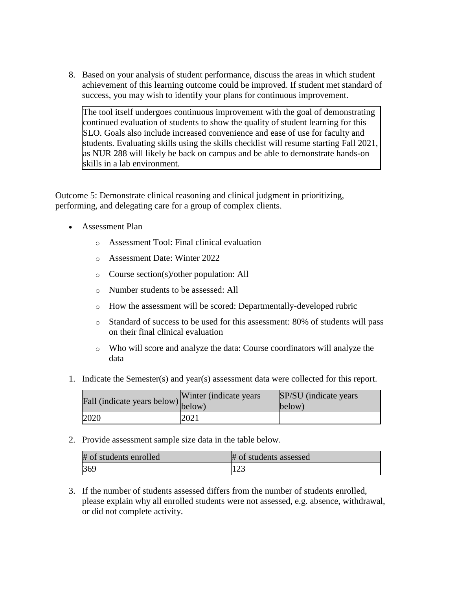8. Based on your analysis of student performance, discuss the areas in which student achievement of this learning outcome could be improved. If student met standard of success, you may wish to identify your plans for continuous improvement.

The tool itself undergoes continuous improvement with the goal of demonstrating continued evaluation of students to show the quality of student learning for this SLO. Goals also include increased convenience and ease of use for faculty and students. Evaluating skills using the skills checklist will resume starting Fall 2021, as NUR 288 will likely be back on campus and be able to demonstrate hands-on skills in a lab environment.

Outcome 5: Demonstrate clinical reasoning and clinical judgment in prioritizing, performing, and delegating care for a group of complex clients.

- Assessment Plan
	- o Assessment Tool: Final clinical evaluation
	- o Assessment Date: Winter 2022
	- o Course section(s)/other population: All
	- o Number students to be assessed: All
	- o How the assessment will be scored: Departmentally-developed rubric
	- o Standard of success to be used for this assessment: 80% of students will pass on their final clinical evaluation
	- o Who will score and analyze the data: Course coordinators will analyze the data
- 1. Indicate the Semester(s) and year(s) assessment data were collected for this report.

| Fall (indicate years below) below) | Winter (indicate years) | SP/SU (indicate years)<br>below) |
|------------------------------------|-------------------------|----------------------------------|
| 2020                               | 2021                    |                                  |

2. Provide assessment sample size data in the table below.

| # of students enrolled | # of students assessed |
|------------------------|------------------------|
| 369                    | 123                    |

3. If the number of students assessed differs from the number of students enrolled, please explain why all enrolled students were not assessed, e.g. absence, withdrawal, or did not complete activity.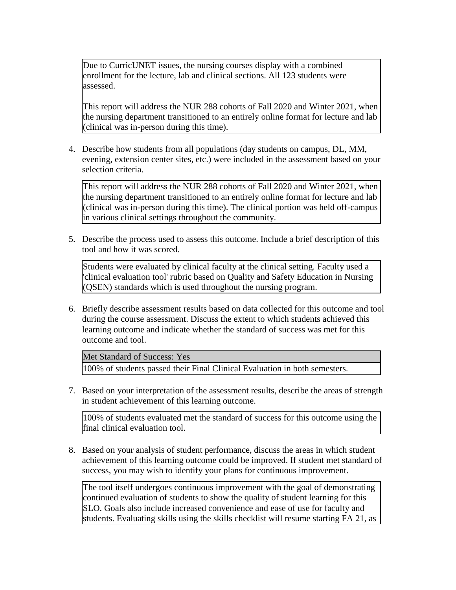Due to CurricUNET issues, the nursing courses display with a combined enrollment for the lecture, lab and clinical sections. All 123 students were assessed.

This report will address the NUR 288 cohorts of Fall 2020 and Winter 2021, when the nursing department transitioned to an entirely online format for lecture and lab (clinical was in-person during this time).

4. Describe how students from all populations (day students on campus, DL, MM, evening, extension center sites, etc.) were included in the assessment based on your selection criteria.

This report will address the NUR 288 cohorts of Fall 2020 and Winter 2021, when the nursing department transitioned to an entirely online format for lecture and lab (clinical was in-person during this time). The clinical portion was held off-campus in various clinical settings throughout the community.

5. Describe the process used to assess this outcome. Include a brief description of this tool and how it was scored.

Students were evaluated by clinical faculty at the clinical setting. Faculty used a 'clinical evaluation tool' rubric based on Quality and Safety Education in Nursing (QSEN) standards which is used throughout the nursing program.

6. Briefly describe assessment results based on data collected for this outcome and tool during the course assessment. Discuss the extent to which students achieved this learning outcome and indicate whether the standard of success was met for this outcome and tool.

Met Standard of Success: Yes

100% of students passed their Final Clinical Evaluation in both semesters.

7. Based on your interpretation of the assessment results, describe the areas of strength in student achievement of this learning outcome.

100% of students evaluated met the standard of success for this outcome using the final clinical evaluation tool.

8. Based on your analysis of student performance, discuss the areas in which student achievement of this learning outcome could be improved. If student met standard of success, you may wish to identify your plans for continuous improvement.

The tool itself undergoes continuous improvement with the goal of demonstrating continued evaluation of students to show the quality of student learning for this SLO. Goals also include increased convenience and ease of use for faculty and students. Evaluating skills using the skills checklist will resume starting FA 21, as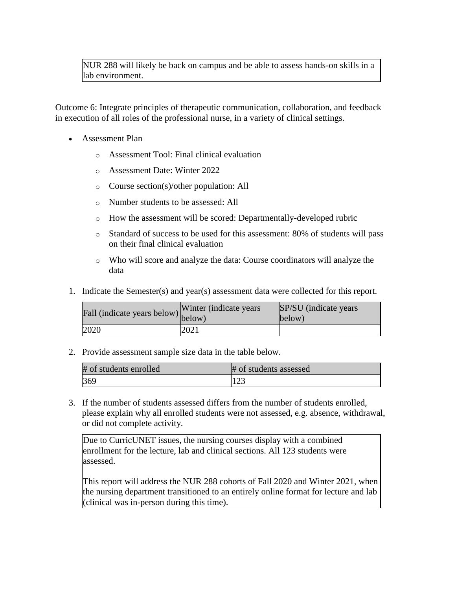# NUR 288 will likely be back on campus and be able to assess hands-on skills in a lab environment.

Outcome 6: Integrate principles of therapeutic communication, collaboration, and feedback in execution of all roles of the professional nurse, in a variety of clinical settings.

- Assessment Plan
	- o Assessment Tool: Final clinical evaluation
	- o Assessment Date: Winter 2022
	- o Course section(s)/other population: All
	- o Number students to be assessed: All
	- o How the assessment will be scored: Departmentally-developed rubric
	- o Standard of success to be used for this assessment: 80% of students will pass on their final clinical evaluation
	- o Who will score and analyze the data: Course coordinators will analyze the data
- 1. Indicate the Semester(s) and year(s) assessment data were collected for this report.

| Fall (indicate years below) below) | Winter (indicate years) | SP/SU (indicate years)<br>below) |
|------------------------------------|-------------------------|----------------------------------|
| 2020                               | 2021                    |                                  |

2. Provide assessment sample size data in the table below.

| # of students enrolled | # of students assessed |
|------------------------|------------------------|
| 369                    |                        |

3. If the number of students assessed differs from the number of students enrolled, please explain why all enrolled students were not assessed, e.g. absence, withdrawal, or did not complete activity.

Due to CurricUNET issues, the nursing courses display with a combined enrollment for the lecture, lab and clinical sections. All 123 students were assessed.

This report will address the NUR 288 cohorts of Fall 2020 and Winter 2021, when the nursing department transitioned to an entirely online format for lecture and lab (clinical was in-person during this time).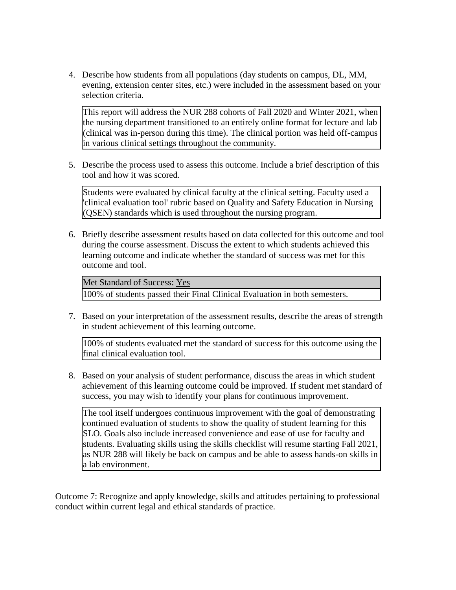4. Describe how students from all populations (day students on campus, DL, MM, evening, extension center sites, etc.) were included in the assessment based on your selection criteria.

This report will address the NUR 288 cohorts of Fall 2020 and Winter 2021, when the nursing department transitioned to an entirely online format for lecture and lab (clinical was in-person during this time). The clinical portion was held off-campus in various clinical settings throughout the community.

5. Describe the process used to assess this outcome. Include a brief description of this tool and how it was scored.

Students were evaluated by clinical faculty at the clinical setting. Faculty used a 'clinical evaluation tool' rubric based on Quality and Safety Education in Nursing (QSEN) standards which is used throughout the nursing program.

6. Briefly describe assessment results based on data collected for this outcome and tool during the course assessment. Discuss the extent to which students achieved this learning outcome and indicate whether the standard of success was met for this outcome and tool.

Met Standard of Success: Yes

100% of students passed their Final Clinical Evaluation in both semesters.

7. Based on your interpretation of the assessment results, describe the areas of strength in student achievement of this learning outcome.

100% of students evaluated met the standard of success for this outcome using the final clinical evaluation tool.

8. Based on your analysis of student performance, discuss the areas in which student achievement of this learning outcome could be improved. If student met standard of success, you may wish to identify your plans for continuous improvement.

The tool itself undergoes continuous improvement with the goal of demonstrating continued evaluation of students to show the quality of student learning for this SLO. Goals also include increased convenience and ease of use for faculty and students. Evaluating skills using the skills checklist will resume starting Fall 2021, as NUR 288 will likely be back on campus and be able to assess hands-on skills in a lab environment.

Outcome 7: Recognize and apply knowledge, skills and attitudes pertaining to professional conduct within current legal and ethical standards of practice.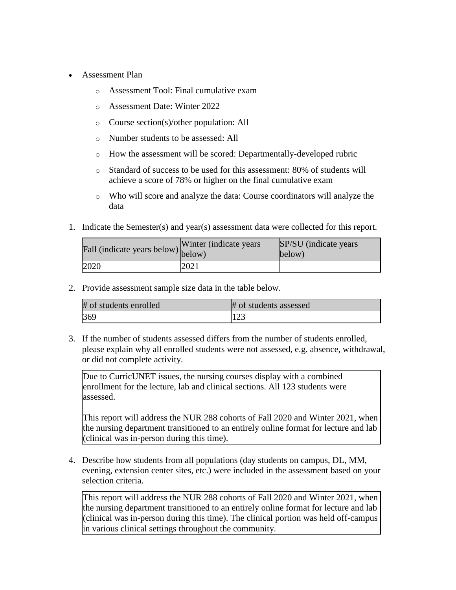- Assessment Plan
	- o Assessment Tool: Final cumulative exam
	- o Assessment Date: Winter 2022
	- o Course section(s)/other population: All
	- o Number students to be assessed: All
	- o How the assessment will be scored: Departmentally-developed rubric
	- o Standard of success to be used for this assessment: 80% of students will achieve a score of 78% or higher on the final cumulative exam
	- o Who will score and analyze the data: Course coordinators will analyze the data
- 1. Indicate the Semester(s) and year(s) assessment data were collected for this report.

| Fall (indicate years below) below) | Winter (indicate years) | SP/SU (indicate years)<br>below) |
|------------------------------------|-------------------------|----------------------------------|
| 2020                               | 2021                    |                                  |

| # of students enrolled | # of students assessed |
|------------------------|------------------------|
| 369                    | 123                    |

3. If the number of students assessed differs from the number of students enrolled, please explain why all enrolled students were not assessed, e.g. absence, withdrawal, or did not complete activity.

Due to CurricUNET issues, the nursing courses display with a combined enrollment for the lecture, lab and clinical sections. All 123 students were assessed.

This report will address the NUR 288 cohorts of Fall 2020 and Winter 2021, when the nursing department transitioned to an entirely online format for lecture and lab (clinical was in-person during this time).

4. Describe how students from all populations (day students on campus, DL, MM, evening, extension center sites, etc.) were included in the assessment based on your selection criteria.

This report will address the NUR 288 cohorts of Fall 2020 and Winter 2021, when the nursing department transitioned to an entirely online format for lecture and lab (clinical was in-person during this time). The clinical portion was held off-campus in various clinical settings throughout the community.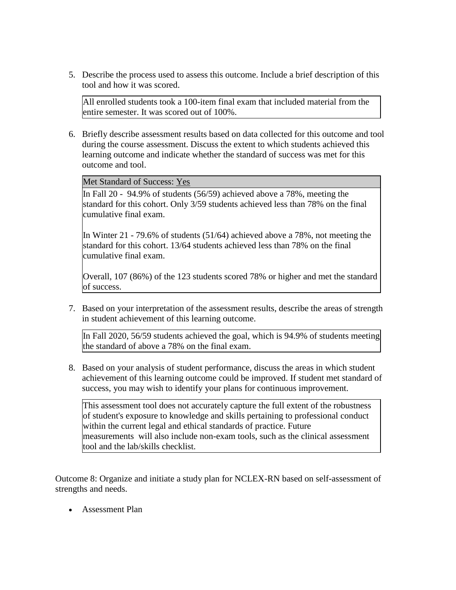5. Describe the process used to assess this outcome. Include a brief description of this tool and how it was scored.

All enrolled students took a 100-item final exam that included material from the entire semester. It was scored out of 100%.

6. Briefly describe assessment results based on data collected for this outcome and tool during the course assessment. Discuss the extent to which students achieved this learning outcome and indicate whether the standard of success was met for this outcome and tool.

Met Standard of Success: Yes

In Fall 20 - 94.9% of students (56/59) achieved above a 78%, meeting the standard for this cohort. Only 3/59 students achieved less than 78% on the final cumulative final exam.

In Winter 21 - 79.6% of students (51/64) achieved above a 78%, not meeting the standard for this cohort. 13/64 students achieved less than 78% on the final cumulative final exam.

Overall, 107 (86%) of the 123 students scored 78% or higher and met the standard of success.

7. Based on your interpretation of the assessment results, describe the areas of strength in student achievement of this learning outcome.

In Fall 2020, 56/59 students achieved the goal, which is 94.9% of students meeting the standard of above a 78% on the final exam.

8. Based on your analysis of student performance, discuss the areas in which student achievement of this learning outcome could be improved. If student met standard of success, you may wish to identify your plans for continuous improvement.

This assessment tool does not accurately capture the full extent of the robustness of student's exposure to knowledge and skills pertaining to professional conduct within the current legal and ethical standards of practice. Future measurements will also include non-exam tools, such as the clinical assessment tool and the lab/skills checklist.

Outcome 8: Organize and initiate a study plan for NCLEX-RN based on self-assessment of strengths and needs.

Assessment Plan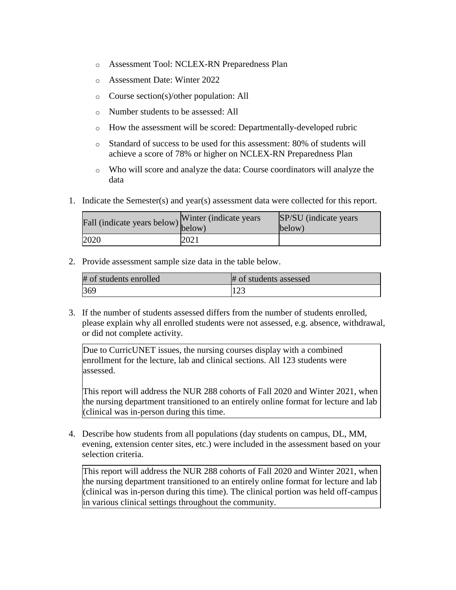- o Assessment Tool: NCLEX-RN Preparedness Plan
- o Assessment Date: Winter 2022
- o Course section(s)/other population: All
- o Number students to be assessed: All
- o How the assessment will be scored: Departmentally-developed rubric
- o Standard of success to be used for this assessment: 80% of students will achieve a score of 78% or higher on NCLEX-RN Preparedness Plan
- o Who will score and analyze the data: Course coordinators will analyze the data
- 1. Indicate the Semester(s) and year(s) assessment data were collected for this report.

| r'all (indicate years below) below) | Winter (indicate years) | SP/SU (indicate years)<br>below) |
|-------------------------------------|-------------------------|----------------------------------|
| 2020                                | 2021                    |                                  |

| # of students enrolled | # of students assessed |
|------------------------|------------------------|
| 369                    | 123                    |

3. If the number of students assessed differs from the number of students enrolled, please explain why all enrolled students were not assessed, e.g. absence, withdrawal, or did not complete activity.

Due to CurricUNET issues, the nursing courses display with a combined enrollment for the lecture, lab and clinical sections. All 123 students were assessed.

This report will address the NUR 288 cohorts of Fall 2020 and Winter 2021, when the nursing department transitioned to an entirely online format for lecture and lab (clinical was in-person during this time.

4. Describe how students from all populations (day students on campus, DL, MM, evening, extension center sites, etc.) were included in the assessment based on your selection criteria.

This report will address the NUR 288 cohorts of Fall 2020 and Winter 2021, when the nursing department transitioned to an entirely online format for lecture and lab (clinical was in-person during this time). The clinical portion was held off-campus in various clinical settings throughout the community.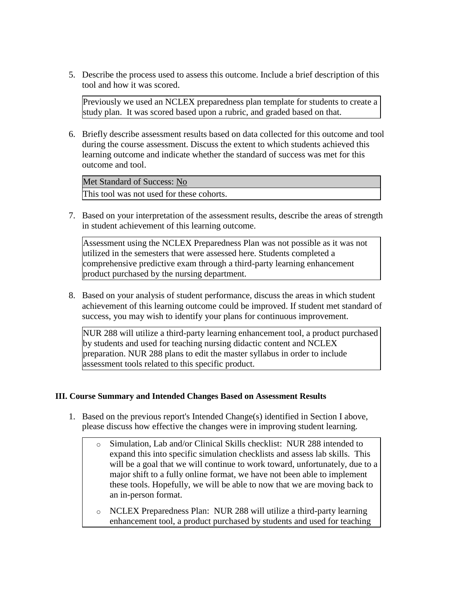5. Describe the process used to assess this outcome. Include a brief description of this tool and how it was scored.

Previously we used an NCLEX preparedness plan template for students to create a study plan. It was scored based upon a rubric, and graded based on that.

6. Briefly describe assessment results based on data collected for this outcome and tool during the course assessment. Discuss the extent to which students achieved this learning outcome and indicate whether the standard of success was met for this outcome and tool.

Met Standard of Success: No This tool was not used for these cohorts.

7. Based on your interpretation of the assessment results, describe the areas of strength in student achievement of this learning outcome.

Assessment using the NCLEX Preparedness Plan was not possible as it was not utilized in the semesters that were assessed here. Students completed a comprehensive predictive exam through a third-party learning enhancement product purchased by the nursing department.

8. Based on your analysis of student performance, discuss the areas in which student achievement of this learning outcome could be improved. If student met standard of success, you may wish to identify your plans for continuous improvement.

NUR 288 will utilize a third-party learning enhancement tool, a product purchased by students and used for teaching nursing didactic content and NCLEX preparation. NUR 288 plans to edit the master syllabus in order to include assessment tools related to this specific product.

## **III. Course Summary and Intended Changes Based on Assessment Results**

- 1. Based on the previous report's Intended Change(s) identified in Section I above, please discuss how effective the changes were in improving student learning.
	- o Simulation, Lab and/or Clinical Skills checklist: NUR 288 intended to expand this into specific simulation checklists and assess lab skills. This will be a goal that we will continue to work toward, unfortunately, due to a major shift to a fully online format, we have not been able to implement these tools. Hopefully, we will be able to now that we are moving back to an in-person format.
	- o NCLEX Preparedness Plan: NUR 288 will utilize a third-party learning enhancement tool, a product purchased by students and used for teaching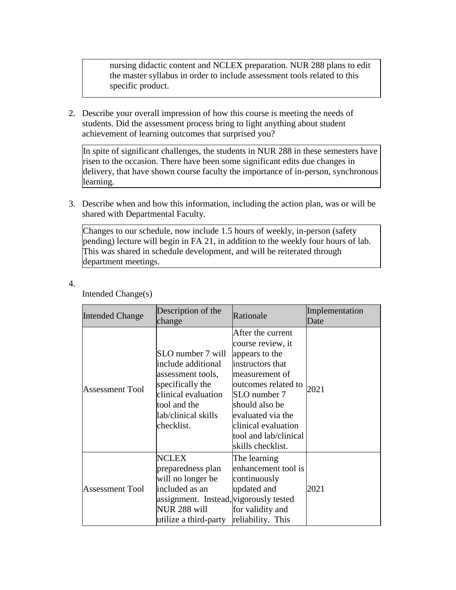nursing didactic content and NCLEX preparation. NUR 288 plans to edit the master syllabus in order to include assessment tools related to this specific product.

2. Describe your overall impression of how this course is meeting the needs of students. Did the assessment process bring to light anything about student achievement of learning outcomes that surprised you?

In spite of significant challenges, the students in NUR 288 in these semesters have risen to the occasion. There have been some significant edits due changes in delivery, that have shown course faculty the importance of in-person, synchronous learning.

3. Describe when and how this information, including the action plan, was or will be shared with Departmental Faculty.

Changes to our schedule, now include 1.5 hours of weekly, in-person (safety pending) lecture will begin in FA 21, in addition to the weekly four hours of lab. This was shared in schedule development, and will be reiterated through department meetings.

| ٠ |   |
|---|---|
|   | ÷ |

| <b>Intended Change</b> | Description of the<br>change                                                                                                                                 | Rationale                                                                                                                                                                                                                                         | Implementation<br>Date |
|------------------------|--------------------------------------------------------------------------------------------------------------------------------------------------------------|---------------------------------------------------------------------------------------------------------------------------------------------------------------------------------------------------------------------------------------------------|------------------------|
| <b>Assessment Tool</b> | SLO number 7 will<br>include additional<br>assessment tools,<br>specifically the<br>clinical evaluation<br>tool and the<br>lab/clinical skills<br>checklist. | After the current<br>course review, it<br>appears to the<br>instructors that<br>measurement of<br>outcomes related to<br>SLO number 7<br>should also be<br>evaluated via the<br>clinical evaluation<br>tool and lab/clinical<br>skills checklist. | 2021                   |
| <b>Assessment Tool</b> | <b>NCLEX</b><br>preparedness plan<br>will no longer be<br>included as an<br>assignment. Instead, vigorously tested<br>NUR 288 will<br>utilize a third-party  | The learning<br>enhancement tool is<br>continuously<br>updated and<br>for validity and<br>reliability. This                                                                                                                                       | 2021                   |

Intended Change(s)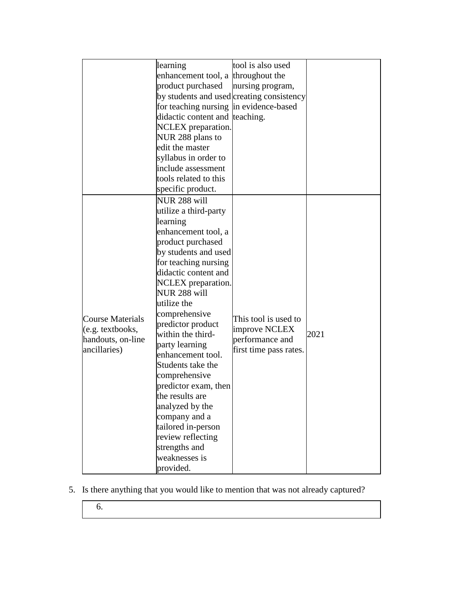|                                                                                  | learning<br>enhancement tool, a throughout the<br>product purchased<br>by students and used creating consistency<br>for teaching nursing in evidence-based<br>didactic content and teaching.<br>NCLEX preparation.<br>NUR 288 plans to<br>edit the master<br>syllabus in order to<br>include assessment<br>tools related to this<br>specific product.                                                                                                                                                                                       | tool is also used<br>nursing program,                                              |      |
|----------------------------------------------------------------------------------|---------------------------------------------------------------------------------------------------------------------------------------------------------------------------------------------------------------------------------------------------------------------------------------------------------------------------------------------------------------------------------------------------------------------------------------------------------------------------------------------------------------------------------------------|------------------------------------------------------------------------------------|------|
| <b>Course Materials</b><br>(e.g. textbooks,<br>handouts, on-line<br>ancillaries) | NUR 288 will<br>utilize a third-party<br>learning<br>enhancement tool, a<br>product purchased<br>by students and used<br>for teaching nursing<br>didactic content and<br>NCLEX preparation.<br>NUR 288 will<br>utilize the<br>comprehensive<br>predictor product<br>within the third-<br>party learning<br>enhancement tool.<br>Students take the<br>comprehensive<br>predictor exam, then<br>the results are<br>analyzed by the<br>company and a<br>tailored in-person<br>review reflecting<br>strengths and<br>weaknesses is<br>provided. | This tool is used to<br>improve NCLEX<br>performance and<br>first time pass rates. | 2021 |

- 5. Is there anything that you would like to mention that was not already captured?
	- 6.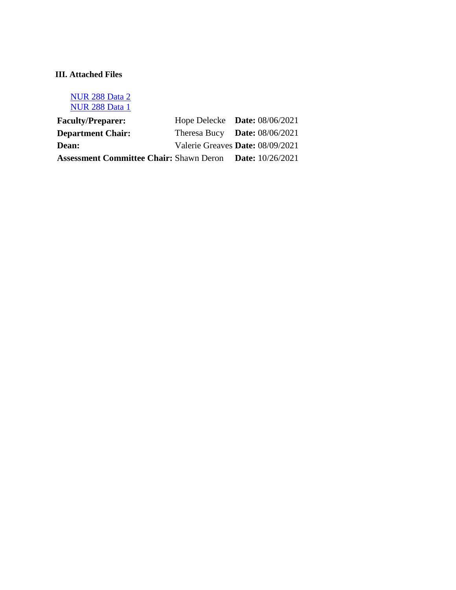# **III. Attached Files**

[NUR 288 Data 2](documents/NUR%20188%20data%202.xlsx) [NUR 288 Data 1](documents/NUR%20288%20Data%201.xlsx)

| <b>Faculty/Preparer:</b>                                        | Hope Delecke Date: $08/06/2021$  |  |
|-----------------------------------------------------------------|----------------------------------|--|
| <b>Department Chair:</b>                                        | Theresa Bucy Date: $08/06/2021$  |  |
| <b>Dean:</b>                                                    | Valerie Greaves Date: 08/09/2021 |  |
| <b>Assessment Committee Chair: Shawn Deron Date: 10/26/2021</b> |                                  |  |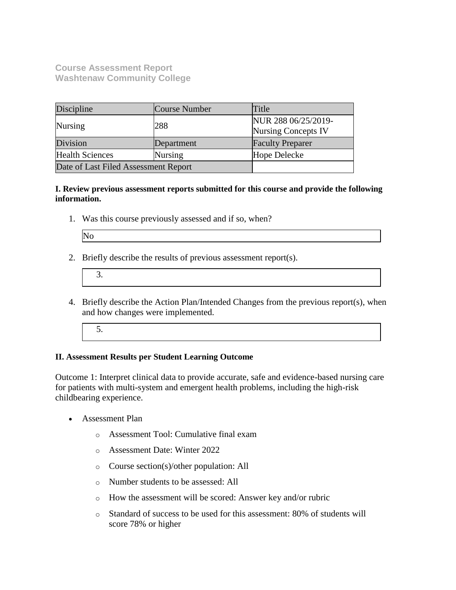**Course Assessment Report Washtenaw Community College**

| Discipline                           | Course Number | Title                                             |
|--------------------------------------|---------------|---------------------------------------------------|
| Nursing                              | 288           | NUR 288 06/25/2019-<br><b>Nursing Concepts IV</b> |
| Division                             | Department    | <b>Faculty Preparer</b>                           |
| <b>Health Sciences</b>               | Nursing       | Hope Delecke                                      |
| Date of Last Filed Assessment Report |               |                                                   |

**I. Review previous assessment reports submitted for this course and provide the following information.**

1. Was this course previously assessed and if so, when?

| ۰.<br>., |  |
|----------|--|
|----------|--|

2. Briefly describe the results of previous assessment report(s).

- 4. Briefly describe the Action Plan/Intended Changes from the previous report(s), when and how changes were implemented.
	- 5.

## **II. Assessment Results per Student Learning Outcome**

Outcome 1: Interpret clinical data to provide accurate, safe and evidence-based nursing care for patients with multi-system and emergent health problems, including the high-risk childbearing experience.

- Assessment Plan
	- o Assessment Tool: Cumulative final exam
	- o Assessment Date: Winter 2022
	- o Course section(s)/other population: All
	- o Number students to be assessed: All
	- o How the assessment will be scored: Answer key and/or rubric
	- o Standard of success to be used for this assessment: 80% of students will score 78% or higher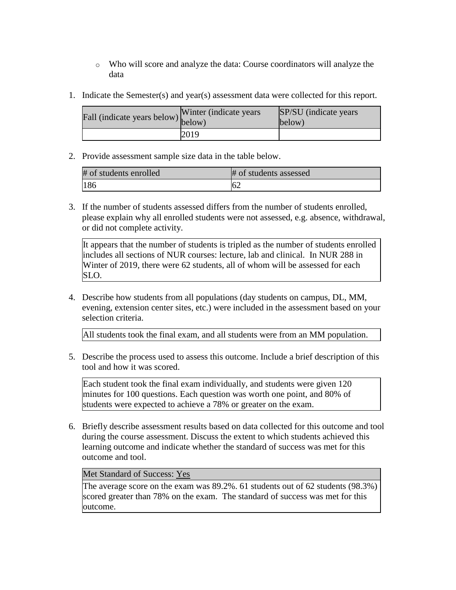- o Who will score and analyze the data: Course coordinators will analyze the data
- 1. Indicate the Semester(s) and year(s) assessment data were collected for this report.

| Fall (indicate years below) $\begin{bmatrix}$ while | Winter (indicate years) | SP/SU (indicate years)<br>below) |
|-----------------------------------------------------|-------------------------|----------------------------------|
|                                                     | 2019                    |                                  |

| # of students enrolled | # of students assessed |
|------------------------|------------------------|
| 186                    |                        |

3. If the number of students assessed differs from the number of students enrolled, please explain why all enrolled students were not assessed, e.g. absence, withdrawal, or did not complete activity.

It appears that the number of students is tripled as the number of students enrolled includes all sections of NUR courses: lecture, lab and clinical. In NUR 288 in Winter of 2019, there were 62 students, all of whom will be assessed for each SLO.

4. Describe how students from all populations (day students on campus, DL, MM, evening, extension center sites, etc.) were included in the assessment based on your selection criteria.

All students took the final exam, and all students were from an MM population.

5. Describe the process used to assess this outcome. Include a brief description of this tool and how it was scored.

Each student took the final exam individually, and students were given 120 minutes for 100 questions. Each question was worth one point, and 80% of students were expected to achieve a 78% or greater on the exam.

6. Briefly describe assessment results based on data collected for this outcome and tool during the course assessment. Discuss the extent to which students achieved this learning outcome and indicate whether the standard of success was met for this outcome and tool.

## Met Standard of Success: Yes

The average score on the exam was 89.2%. 61 students out of 62 students (98.3%) scored greater than 78% on the exam. The standard of success was met for this outcome.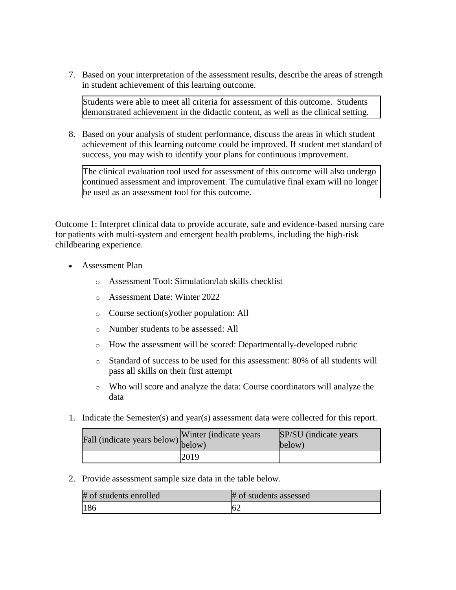7. Based on your interpretation of the assessment results, describe the areas of strength in student achievement of this learning outcome.

Students were able to meet all criteria for assessment of this outcome. Students demonstrated achievement in the didactic content, as well as the clinical setting.

8. Based on your analysis of student performance, discuss the areas in which student achievement of this learning outcome could be improved. If student met standard of success, you may wish to identify your plans for continuous improvement.

The clinical evaluation tool used for assessment of this outcome will also undergo continued assessment and improvement. The cumulative final exam will no longer be used as an assessment tool for this outcome.

Outcome 1: Interpret clinical data to provide accurate, safe and evidence-based nursing care for patients with multi-system and emergent health problems, including the high-risk childbearing experience.

- Assessment Plan
	- o Assessment Tool: Simulation/lab skills checklist
	- o Assessment Date: Winter 2022
	- o Course section(s)/other population: All
	- o Number students to be assessed: All
	- o How the assessment will be scored: Departmentally-developed rubric
	- o Standard of success to be used for this assessment: 80% of all students will pass all skills on their first attempt
	- o Who will score and analyze the data: Course coordinators will analyze the data
- 1. Indicate the Semester(s) and year(s) assessment data were collected for this report.

| Fall (indicate years below) below) | Winter (indicate years) | SP/SU (indicate years)<br>below) |
|------------------------------------|-------------------------|----------------------------------|
|                                    | 2019                    |                                  |

2. Provide assessment sample size data in the table below.

| # of students enrolled | # of students assessed |
|------------------------|------------------------|
| 186                    | $-6$                   |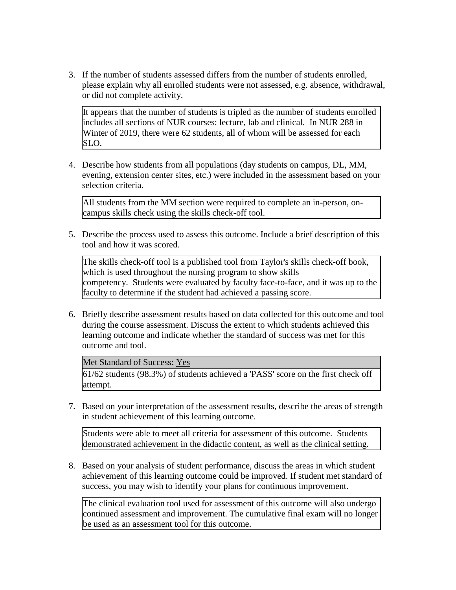3. If the number of students assessed differs from the number of students enrolled, please explain why all enrolled students were not assessed, e.g. absence, withdrawal, or did not complete activity.

It appears that the number of students is tripled as the number of students enrolled includes all sections of NUR courses: lecture, lab and clinical. In NUR 288 in Winter of 2019, there were 62 students, all of whom will be assessed for each SLO.

4. Describe how students from all populations (day students on campus, DL, MM, evening, extension center sites, etc.) were included in the assessment based on your selection criteria.

All students from the MM section were required to complete an in-person, oncampus skills check using the skills check-off tool.

5. Describe the process used to assess this outcome. Include a brief description of this tool and how it was scored.

The skills check-off tool is a published tool from Taylor's skills check-off book, which is used throughout the nursing program to show skills competency. Students were evaluated by faculty face-to-face, and it was up to the faculty to determine if the student had achieved a passing score.

6. Briefly describe assessment results based on data collected for this outcome and tool during the course assessment. Discuss the extent to which students achieved this learning outcome and indicate whether the standard of success was met for this outcome and tool.

#### Met Standard of Success: Yes

61/62 students (98.3%) of students achieved a 'PASS' score on the first check off attempt.

7. Based on your interpretation of the assessment results, describe the areas of strength in student achievement of this learning outcome.

Students were able to meet all criteria for assessment of this outcome. Students demonstrated achievement in the didactic content, as well as the clinical setting.

8. Based on your analysis of student performance, discuss the areas in which student achievement of this learning outcome could be improved. If student met standard of success, you may wish to identify your plans for continuous improvement.

The clinical evaluation tool used for assessment of this outcome will also undergo continued assessment and improvement. The cumulative final exam will no longer be used as an assessment tool for this outcome.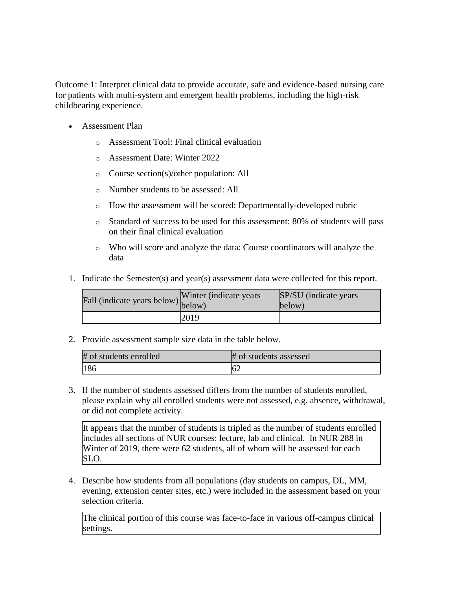Outcome 1: Interpret clinical data to provide accurate, safe and evidence-based nursing care for patients with multi-system and emergent health problems, including the high-risk childbearing experience.

- Assessment Plan
	- o Assessment Tool: Final clinical evaluation
	- o Assessment Date: Winter 2022
	- o Course section(s)/other population: All
	- o Number students to be assessed: All
	- o How the assessment will be scored: Departmentally-developed rubric
	- o Standard of success to be used for this assessment: 80% of students will pass on their final clinical evaluation
	- o Who will score and analyze the data: Course coordinators will analyze the data
- 1. Indicate the Semester(s) and year(s) assessment data were collected for this report.

| Fall (indicate years below) below) | Winter (indicate years) | SP/SU (indicate years)<br>below) |
|------------------------------------|-------------------------|----------------------------------|
|                                    | 2019                    |                                  |

2. Provide assessment sample size data in the table below.

| # of students enrolled | # of students assessed |
|------------------------|------------------------|
| 186                    | 62                     |

3. If the number of students assessed differs from the number of students enrolled, please explain why all enrolled students were not assessed, e.g. absence, withdrawal, or did not complete activity.

It appears that the number of students is tripled as the number of students enrolled includes all sections of NUR courses: lecture, lab and clinical. In NUR 288 in Winter of 2019, there were 62 students, all of whom will be assessed for each SLO.

4. Describe how students from all populations (day students on campus, DL, MM, evening, extension center sites, etc.) were included in the assessment based on your selection criteria.

The clinical portion of this course was face-to-face in various off-campus clinical settings.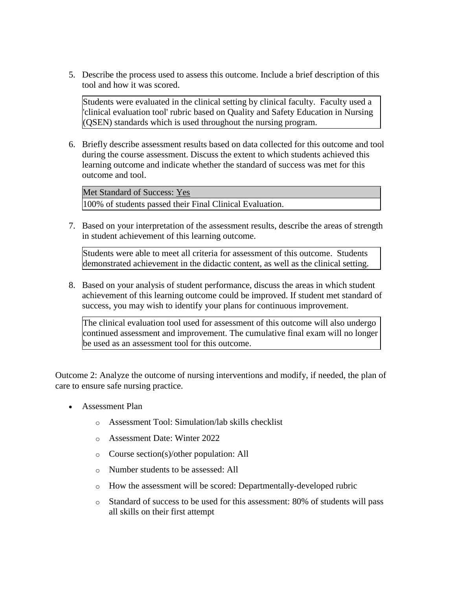5. Describe the process used to assess this outcome. Include a brief description of this tool and how it was scored.

Students were evaluated in the clinical setting by clinical faculty. Faculty used a 'clinical evaluation tool' rubric based on Quality and Safety Education in Nursing (QSEN) standards which is used throughout the nursing program.

6. Briefly describe assessment results based on data collected for this outcome and tool during the course assessment. Discuss the extent to which students achieved this learning outcome and indicate whether the standard of success was met for this outcome and tool.

Met Standard of Success: Yes 100% of students passed their Final Clinical Evaluation.

7. Based on your interpretation of the assessment results, describe the areas of strength in student achievement of this learning outcome.

Students were able to meet all criteria for assessment of this outcome. Students demonstrated achievement in the didactic content, as well as the clinical setting.

8. Based on your analysis of student performance, discuss the areas in which student achievement of this learning outcome could be improved. If student met standard of success, you may wish to identify your plans for continuous improvement.

The clinical evaluation tool used for assessment of this outcome will also undergo continued assessment and improvement. The cumulative final exam will no longer be used as an assessment tool for this outcome.

Outcome 2: Analyze the outcome of nursing interventions and modify, if needed, the plan of care to ensure safe nursing practice.

- Assessment Plan
	- o Assessment Tool: Simulation/lab skills checklist
	- o Assessment Date: Winter 2022
	- o Course section(s)/other population: All
	- o Number students to be assessed: All
	- o How the assessment will be scored: Departmentally-developed rubric
	- o Standard of success to be used for this assessment: 80% of students will pass all skills on their first attempt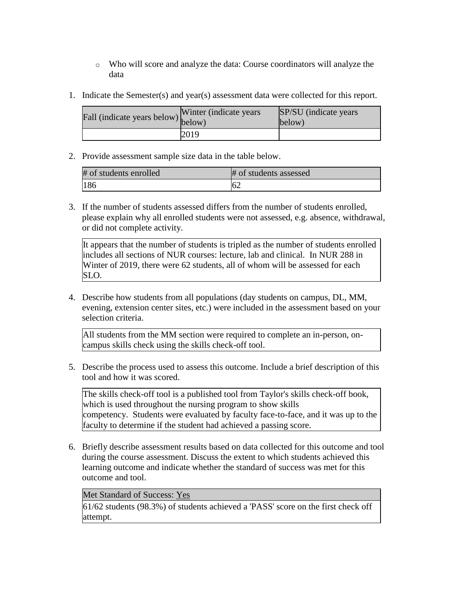- o Who will score and analyze the data: Course coordinators will analyze the data
- 1. Indicate the Semester(s) and year(s) assessment data were collected for this report.

| Fall (indicate years below) $\begin{bmatrix}$ while | Winter (indicate years) | <b>SP/SU</b> (indicate years)<br>below) |
|-----------------------------------------------------|-------------------------|-----------------------------------------|
|                                                     | 2019                    |                                         |

| # of students enrolled | # of students assessed |
|------------------------|------------------------|
| 186                    |                        |

3. If the number of students assessed differs from the number of students enrolled, please explain why all enrolled students were not assessed, e.g. absence, withdrawal, or did not complete activity.

It appears that the number of students is tripled as the number of students enrolled includes all sections of NUR courses: lecture, lab and clinical. In NUR 288 in Winter of 2019, there were 62 students, all of whom will be assessed for each SLO.

4. Describe how students from all populations (day students on campus, DL, MM, evening, extension center sites, etc.) were included in the assessment based on your selection criteria.

All students from the MM section were required to complete an in-person, oncampus skills check using the skills check-off tool.

5. Describe the process used to assess this outcome. Include a brief description of this tool and how it was scored.

The skills check-off tool is a published tool from Taylor's skills check-off book, which is used throughout the nursing program to show skills competency. Students were evaluated by faculty face-to-face, and it was up to the faculty to determine if the student had achieved a passing score.

6. Briefly describe assessment results based on data collected for this outcome and tool during the course assessment. Discuss the extent to which students achieved this learning outcome and indicate whether the standard of success was met for this outcome and tool.

# Met Standard of Success: Yes

61/62 students (98.3%) of students achieved a 'PASS' score on the first check off attempt.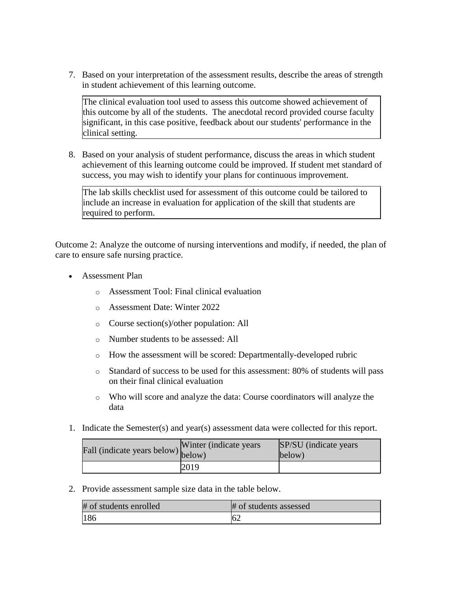7. Based on your interpretation of the assessment results, describe the areas of strength in student achievement of this learning outcome.

The clinical evaluation tool used to assess this outcome showed achievement of this outcome by all of the students. The anecdotal record provided course faculty significant, in this case positive, feedback about our students' performance in the clinical setting.

8. Based on your analysis of student performance, discuss the areas in which student achievement of this learning outcome could be improved. If student met standard of success, you may wish to identify your plans for continuous improvement.

The lab skills checklist used for assessment of this outcome could be tailored to include an increase in evaluation for application of the skill that students are required to perform.

Outcome 2: Analyze the outcome of nursing interventions and modify, if needed, the plan of care to ensure safe nursing practice.

- Assessment Plan
	- o Assessment Tool: Final clinical evaluation
	- o Assessment Date: Winter 2022
	- o Course section(s)/other population: All
	- o Number students to be assessed: All
	- o How the assessment will be scored: Departmentally-developed rubric
	- o Standard of success to be used for this assessment: 80% of students will pass on their final clinical evaluation
	- o Who will score and analyze the data: Course coordinators will analyze the data
- 1. Indicate the Semester(s) and year(s) assessment data were collected for this report.

| Fall (indicate years below) below) | Winter (indicate years) | SP/SU (indicate years)<br>below) |
|------------------------------------|-------------------------|----------------------------------|
|                                    | 2019                    |                                  |

2. Provide assessment sample size data in the table below.

| # of students enrolled | # of students assessed |
|------------------------|------------------------|
| <sup>186</sup>         | 62                     |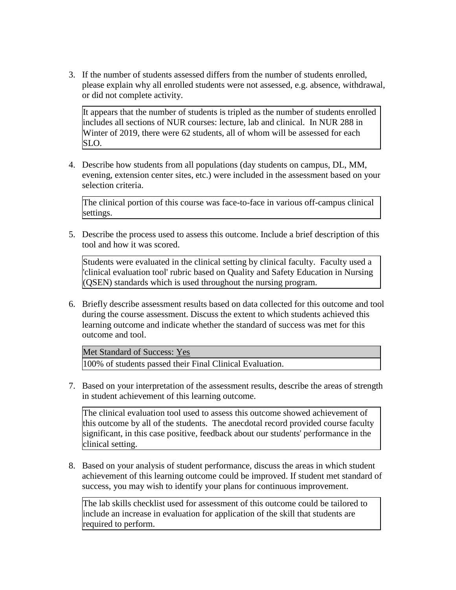3. If the number of students assessed differs from the number of students enrolled, please explain why all enrolled students were not assessed, e.g. absence, withdrawal, or did not complete activity.

It appears that the number of students is tripled as the number of students enrolled includes all sections of NUR courses: lecture, lab and clinical. In NUR 288 in Winter of 2019, there were 62 students, all of whom will be assessed for each SLO.

4. Describe how students from all populations (day students on campus, DL, MM, evening, extension center sites, etc.) were included in the assessment based on your selection criteria.

The clinical portion of this course was face-to-face in various off-campus clinical settings.

5. Describe the process used to assess this outcome. Include a brief description of this tool and how it was scored.

Students were evaluated in the clinical setting by clinical faculty. Faculty used a 'clinical evaluation tool' rubric based on Quality and Safety Education in Nursing (QSEN) standards which is used throughout the nursing program.

6. Briefly describe assessment results based on data collected for this outcome and tool during the course assessment. Discuss the extent to which students achieved this learning outcome and indicate whether the standard of success was met for this outcome and tool.

Met Standard of Success: Yes

100% of students passed their Final Clinical Evaluation.

7. Based on your interpretation of the assessment results, describe the areas of strength in student achievement of this learning outcome.

The clinical evaluation tool used to assess this outcome showed achievement of this outcome by all of the students. The anecdotal record provided course faculty significant, in this case positive, feedback about our students' performance in the clinical setting.

8. Based on your analysis of student performance, discuss the areas in which student achievement of this learning outcome could be improved. If student met standard of success, you may wish to identify your plans for continuous improvement.

The lab skills checklist used for assessment of this outcome could be tailored to include an increase in evaluation for application of the skill that students are required to perform.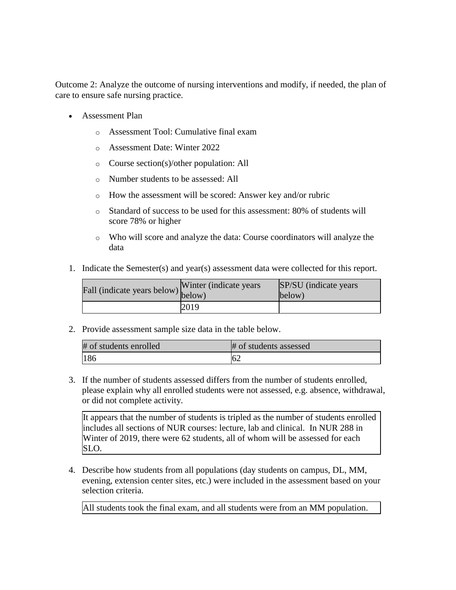Outcome 2: Analyze the outcome of nursing interventions and modify, if needed, the plan of care to ensure safe nursing practice.

- Assessment Plan
	- o Assessment Tool: Cumulative final exam
	- o Assessment Date: Winter 2022
	- o Course section(s)/other population: All
	- o Number students to be assessed: All
	- o How the assessment will be scored: Answer key and/or rubric
	- o Standard of success to be used for this assessment: 80% of students will score 78% or higher
	- o Who will score and analyze the data: Course coordinators will analyze the data
- 1. Indicate the Semester(s) and year(s) assessment data were collected for this report.

| Fall (indicate years below) below) | Winter (indicate years) | SP/SU (indicate years)<br>below) |
|------------------------------------|-------------------------|----------------------------------|
|                                    | 2019                    |                                  |

2. Provide assessment sample size data in the table below.

| # of students enrolled | # of students assessed |
|------------------------|------------------------|
| 186                    |                        |

3. If the number of students assessed differs from the number of students enrolled, please explain why all enrolled students were not assessed, e.g. absence, withdrawal, or did not complete activity.

It appears that the number of students is tripled as the number of students enrolled includes all sections of NUR courses: lecture, lab and clinical. In NUR 288 in Winter of 2019, there were 62 students, all of whom will be assessed for each SLO.

4. Describe how students from all populations (day students on campus, DL, MM, evening, extension center sites, etc.) were included in the assessment based on your selection criteria.

All students took the final exam, and all students were from an MM population.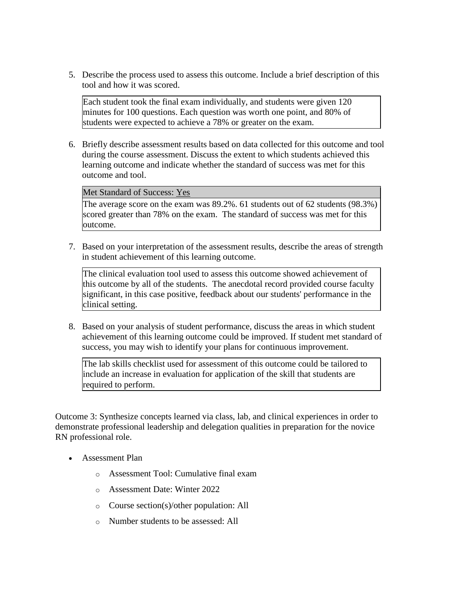5. Describe the process used to assess this outcome. Include a brief description of this tool and how it was scored.

Each student took the final exam individually, and students were given 120 minutes for 100 questions. Each question was worth one point, and 80% of students were expected to achieve a 78% or greater on the exam.

6. Briefly describe assessment results based on data collected for this outcome and tool during the course assessment. Discuss the extent to which students achieved this learning outcome and indicate whether the standard of success was met for this outcome and tool.

### Met Standard of Success: Yes

The average score on the exam was 89.2%. 61 students out of 62 students (98.3%) scored greater than 78% on the exam. The standard of success was met for this outcome.

7. Based on your interpretation of the assessment results, describe the areas of strength in student achievement of this learning outcome.

The clinical evaluation tool used to assess this outcome showed achievement of this outcome by all of the students. The anecdotal record provided course faculty significant, in this case positive, feedback about our students' performance in the clinical setting.

8. Based on your analysis of student performance, discuss the areas in which student achievement of this learning outcome could be improved. If student met standard of success, you may wish to identify your plans for continuous improvement.

The lab skills checklist used for assessment of this outcome could be tailored to include an increase in evaluation for application of the skill that students are required to perform.

Outcome 3: Synthesize concepts learned via class, lab, and clinical experiences in order to demonstrate professional leadership and delegation qualities in preparation for the novice RN professional role.

- Assessment Plan
	- o Assessment Tool: Cumulative final exam
	- o Assessment Date: Winter 2022
	- o Course section(s)/other population: All
	- o Number students to be assessed: All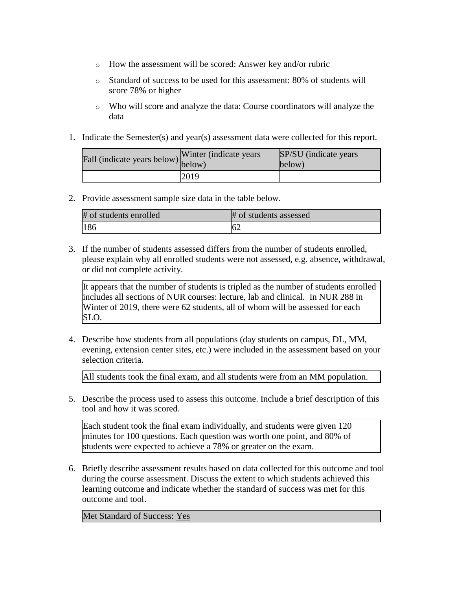- o How the assessment will be scored: Answer key and/or rubric
- o Standard of success to be used for this assessment: 80% of students will score 78% or higher
- o Who will score and analyze the data: Course coordinators will analyze the data
- 1. Indicate the Semester(s) and year(s) assessment data were collected for this report.

| Fall (indicate years below) below) | Winter (indicate years) | SP/SU (indicate years)<br>below) |
|------------------------------------|-------------------------|----------------------------------|
|                                    | 2019                    |                                  |

| # of students enrolled | # of students assessed |
|------------------------|------------------------|
| 186                    | 62                     |

3. If the number of students assessed differs from the number of students enrolled, please explain why all enrolled students were not assessed, e.g. absence, withdrawal, or did not complete activity.

It appears that the number of students is tripled as the number of students enrolled includes all sections of NUR courses: lecture, lab and clinical. In NUR 288 in Winter of 2019, there were 62 students, all of whom will be assessed for each SLO.

4. Describe how students from all populations (day students on campus, DL, MM, evening, extension center sites, etc.) were included in the assessment based on your selection criteria.

All students took the final exam, and all students were from an MM population.

5. Describe the process used to assess this outcome. Include a brief description of this tool and how it was scored.

Each student took the final exam individually, and students were given 120 minutes for 100 questions. Each question was worth one point, and 80% of students were expected to achieve a 78% or greater on the exam.

6. Briefly describe assessment results based on data collected for this outcome and tool during the course assessment. Discuss the extent to which students achieved this learning outcome and indicate whether the standard of success was met for this outcome and tool.

Met Standard of Success: Yes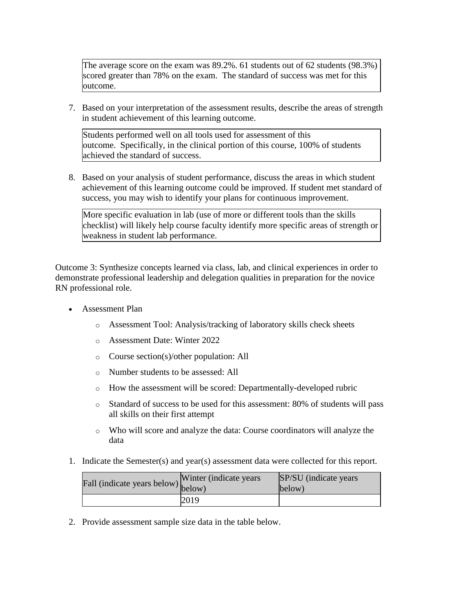The average score on the exam was 89.2%. 61 students out of 62 students (98.3%) scored greater than 78% on the exam. The standard of success was met for this outcome.

7. Based on your interpretation of the assessment results, describe the areas of strength in student achievement of this learning outcome.

Students performed well on all tools used for assessment of this outcome. Specifically, in the clinical portion of this course, 100% of students achieved the standard of success.

8. Based on your analysis of student performance, discuss the areas in which student achievement of this learning outcome could be improved. If student met standard of success, you may wish to identify your plans for continuous improvement.

More specific evaluation in lab (use of more or different tools than the skills checklist) will likely help course faculty identify more specific areas of strength or weakness in student lab performance.

Outcome 3: Synthesize concepts learned via class, lab, and clinical experiences in order to demonstrate professional leadership and delegation qualities in preparation for the novice RN professional role.

- Assessment Plan
	- o Assessment Tool: Analysis/tracking of laboratory skills check sheets
	- o Assessment Date: Winter 2022
	- o Course section(s)/other population: All
	- o Number students to be assessed: All
	- o How the assessment will be scored: Departmentally-developed rubric
	- o Standard of success to be used for this assessment: 80% of students will pass all skills on their first attempt
	- o Who will score and analyze the data: Course coordinators will analyze the data
- 1. Indicate the Semester(s) and year(s) assessment data were collected for this report.

| riall (indicate years below) below) | Winter (indicate years) | SP/SU (indicate years)<br>below) |
|-------------------------------------|-------------------------|----------------------------------|
|                                     | 2019                    |                                  |

2. Provide assessment sample size data in the table below.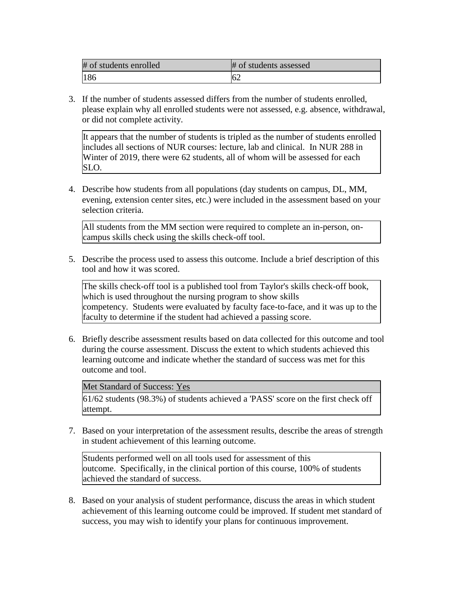| # of students enrolled | # of students assessed |
|------------------------|------------------------|
| 186                    | 62                     |

3. If the number of students assessed differs from the number of students enrolled, please explain why all enrolled students were not assessed, e.g. absence, withdrawal, or did not complete activity.

It appears that the number of students is tripled as the number of students enrolled includes all sections of NUR courses: lecture, lab and clinical. In NUR 288 in Winter of 2019, there were 62 students, all of whom will be assessed for each SLO.

4. Describe how students from all populations (day students on campus, DL, MM, evening, extension center sites, etc.) were included in the assessment based on your selection criteria.

All students from the MM section were required to complete an in-person, oncampus skills check using the skills check-off tool.

5. Describe the process used to assess this outcome. Include a brief description of this tool and how it was scored.

The skills check-off tool is a published tool from Taylor's skills check-off book, which is used throughout the nursing program to show skills competency. Students were evaluated by faculty face-to-face, and it was up to the faculty to determine if the student had achieved a passing score.

6. Briefly describe assessment results based on data collected for this outcome and tool during the course assessment. Discuss the extent to which students achieved this learning outcome and indicate whether the standard of success was met for this outcome and tool.

Met Standard of Success: Yes

61/62 students (98.3%) of students achieved a 'PASS' score on the first check off attempt.

7. Based on your interpretation of the assessment results, describe the areas of strength in student achievement of this learning outcome.

Students performed well on all tools used for assessment of this outcome. Specifically, in the clinical portion of this course, 100% of students achieved the standard of success.

8. Based on your analysis of student performance, discuss the areas in which student achievement of this learning outcome could be improved. If student met standard of success, you may wish to identify your plans for continuous improvement.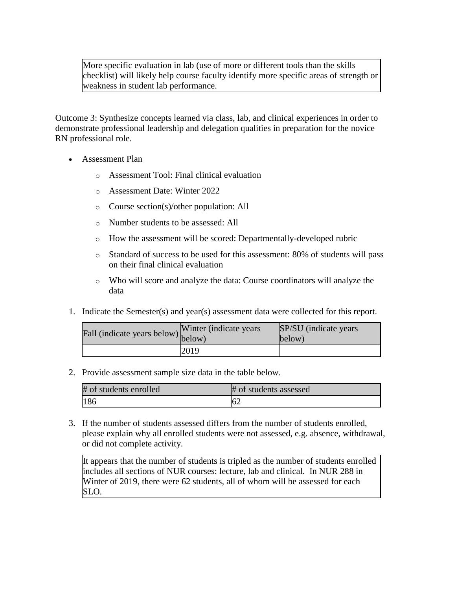More specific evaluation in lab (use of more or different tools than the skills checklist) will likely help course faculty identify more specific areas of strength or weakness in student lab performance.

Outcome 3: Synthesize concepts learned via class, lab, and clinical experiences in order to demonstrate professional leadership and delegation qualities in preparation for the novice RN professional role.

- Assessment Plan
	- o Assessment Tool: Final clinical evaluation
	- o Assessment Date: Winter 2022
	- o Course section(s)/other population: All
	- o Number students to be assessed: All
	- o How the assessment will be scored: Departmentally-developed rubric
	- o Standard of success to be used for this assessment: 80% of students will pass on their final clinical evaluation
	- o Who will score and analyze the data: Course coordinators will analyze the data
- 1. Indicate the Semester(s) and year(s) assessment data were collected for this report.

| riall (indicate years below) below) | Winter (indicate years) | SP/SU (indicate years)<br>below) |
|-------------------------------------|-------------------------|----------------------------------|
|                                     | 2019                    |                                  |

2. Provide assessment sample size data in the table below.

| # of students enrolled | # of students assessed |
|------------------------|------------------------|
| 186                    | 62                     |

3. If the number of students assessed differs from the number of students enrolled, please explain why all enrolled students were not assessed, e.g. absence, withdrawal, or did not complete activity.

It appears that the number of students is tripled as the number of students enrolled includes all sections of NUR courses: lecture, lab and clinical. In NUR 288 in Winter of 2019, there were 62 students, all of whom will be assessed for each SLO.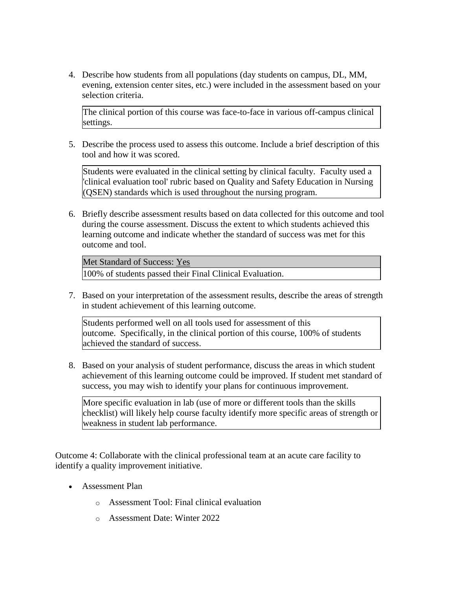4. Describe how students from all populations (day students on campus, DL, MM, evening, extension center sites, etc.) were included in the assessment based on your selection criteria.

The clinical portion of this course was face-to-face in various off-campus clinical settings.

5. Describe the process used to assess this outcome. Include a brief description of this tool and how it was scored.

Students were evaluated in the clinical setting by clinical faculty. Faculty used a 'clinical evaluation tool' rubric based on Quality and Safety Education in Nursing (QSEN) standards which is used throughout the nursing program.

6. Briefly describe assessment results based on data collected for this outcome and tool during the course assessment. Discuss the extent to which students achieved this learning outcome and indicate whether the standard of success was met for this outcome and tool.

Met Standard of Success: Yes

100% of students passed their Final Clinical Evaluation.

7. Based on your interpretation of the assessment results, describe the areas of strength in student achievement of this learning outcome.

Students performed well on all tools used for assessment of this outcome. Specifically, in the clinical portion of this course, 100% of students achieved the standard of success.

8. Based on your analysis of student performance, discuss the areas in which student achievement of this learning outcome could be improved. If student met standard of success, you may wish to identify your plans for continuous improvement.

More specific evaluation in lab (use of more or different tools than the skills checklist) will likely help course faculty identify more specific areas of strength or weakness in student lab performance.

Outcome 4: Collaborate with the clinical professional team at an acute care facility to identify a quality improvement initiative.

- Assessment Plan
	- o Assessment Tool: Final clinical evaluation
	- o Assessment Date: Winter 2022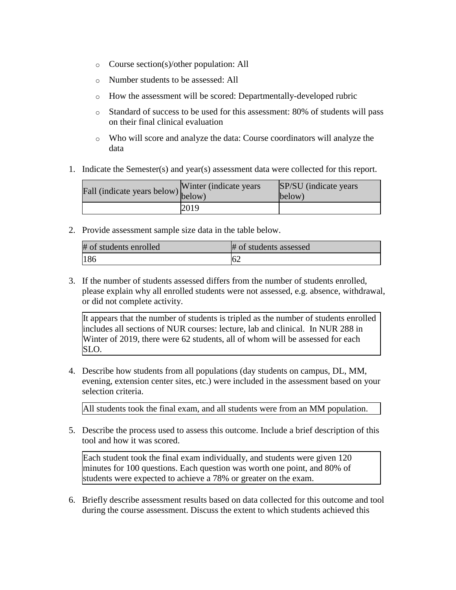- o Course section(s)/other population: All
- o Number students to be assessed: All
- o How the assessment will be scored: Departmentally-developed rubric
- o Standard of success to be used for this assessment: 80% of students will pass on their final clinical evaluation
- o Who will score and analyze the data: Course coordinators will analyze the data
- 1. Indicate the Semester(s) and year(s) assessment data were collected for this report.

| Fall (indicate years below) below) | Winter (indicate years) | SP/SU (indicate years)<br>below) |
|------------------------------------|-------------------------|----------------------------------|
|                                    | 2019                    |                                  |

| # of students enrolled | # of students assessed |
|------------------------|------------------------|
| 186                    | OΖ                     |

3. If the number of students assessed differs from the number of students enrolled, please explain why all enrolled students were not assessed, e.g. absence, withdrawal, or did not complete activity.

It appears that the number of students is tripled as the number of students enrolled includes all sections of NUR courses: lecture, lab and clinical. In NUR 288 in Winter of 2019, there were 62 students, all of whom will be assessed for each SLO.

4. Describe how students from all populations (day students on campus, DL, MM, evening, extension center sites, etc.) were included in the assessment based on your selection criteria.

All students took the final exam, and all students were from an MM population.

5. Describe the process used to assess this outcome. Include a brief description of this tool and how it was scored.

Each student took the final exam individually, and students were given 120 minutes for 100 questions. Each question was worth one point, and 80% of students were expected to achieve a 78% or greater on the exam.

6. Briefly describe assessment results based on data collected for this outcome and tool during the course assessment. Discuss the extent to which students achieved this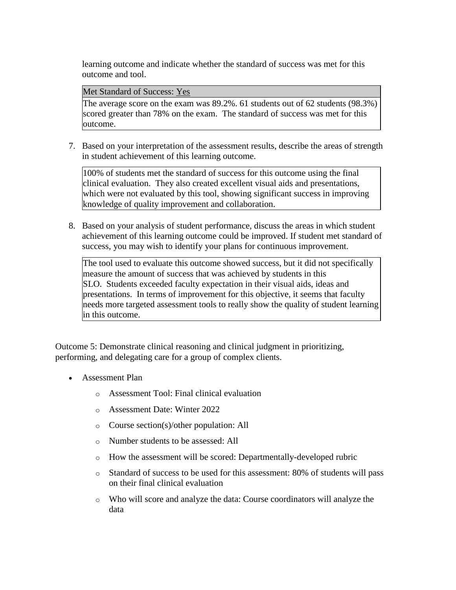learning outcome and indicate whether the standard of success was met for this outcome and tool.

Met Standard of Success: Yes

The average score on the exam was 89.2%. 61 students out of 62 students (98.3%) scored greater than 78% on the exam. The standard of success was met for this outcome.

7. Based on your interpretation of the assessment results, describe the areas of strength in student achievement of this learning outcome.

100% of students met the standard of success for this outcome using the final clinical evaluation. They also created excellent visual aids and presentations, which were not evaluated by this tool, showing significant success in improving knowledge of quality improvement and collaboration.

8. Based on your analysis of student performance, discuss the areas in which student achievement of this learning outcome could be improved. If student met standard of success, you may wish to identify your plans for continuous improvement.

The tool used to evaluate this outcome showed success, but it did not specifically measure the amount of success that was achieved by students in this SLO. Students exceeded faculty expectation in their visual aids, ideas and presentations. In terms of improvement for this objective, it seems that faculty needs more targeted assessment tools to really show the quality of student learning in this outcome.

Outcome 5: Demonstrate clinical reasoning and clinical judgment in prioritizing, performing, and delegating care for a group of complex clients.

- Assessment Plan
	- o Assessment Tool: Final clinical evaluation
	- o Assessment Date: Winter 2022
	- o Course section(s)/other population: All
	- o Number students to be assessed: All
	- o How the assessment will be scored: Departmentally-developed rubric
	- o Standard of success to be used for this assessment: 80% of students will pass on their final clinical evaluation
	- o Who will score and analyze the data: Course coordinators will analyze the data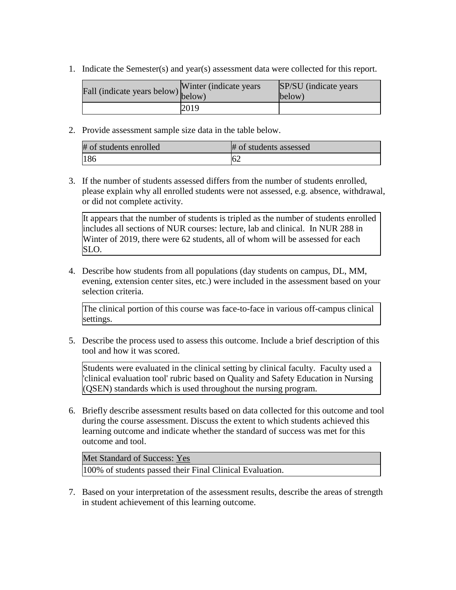1. Indicate the Semester(s) and year(s) assessment data were collected for this report.

| Fall (indicate years below) v measurement | Winter (indicate years) | SP/SU (indicate years)<br>below) |
|-------------------------------------------|-------------------------|----------------------------------|
|                                           | 2019                    |                                  |

2. Provide assessment sample size data in the table below.

| # of students enrolled | # of students assessed |
|------------------------|------------------------|
| 186                    | 62                     |

3. If the number of students assessed differs from the number of students enrolled, please explain why all enrolled students were not assessed, e.g. absence, withdrawal, or did not complete activity.

It appears that the number of students is tripled as the number of students enrolled includes all sections of NUR courses: lecture, lab and clinical. In NUR 288 in Winter of 2019, there were 62 students, all of whom will be assessed for each SLO.

4. Describe how students from all populations (day students on campus, DL, MM, evening, extension center sites, etc.) were included in the assessment based on your selection criteria.

The clinical portion of this course was face-to-face in various off-campus clinical settings.

5. Describe the process used to assess this outcome. Include a brief description of this tool and how it was scored.

Students were evaluated in the clinical setting by clinical faculty. Faculty used a 'clinical evaluation tool' rubric based on Quality and Safety Education in Nursing (QSEN) standards which is used throughout the nursing program.

6. Briefly describe assessment results based on data collected for this outcome and tool during the course assessment. Discuss the extent to which students achieved this learning outcome and indicate whether the standard of success was met for this outcome and tool.

Met Standard of Success: Yes 100% of students passed their Final Clinical Evaluation.

7. Based on your interpretation of the assessment results, describe the areas of strength in student achievement of this learning outcome.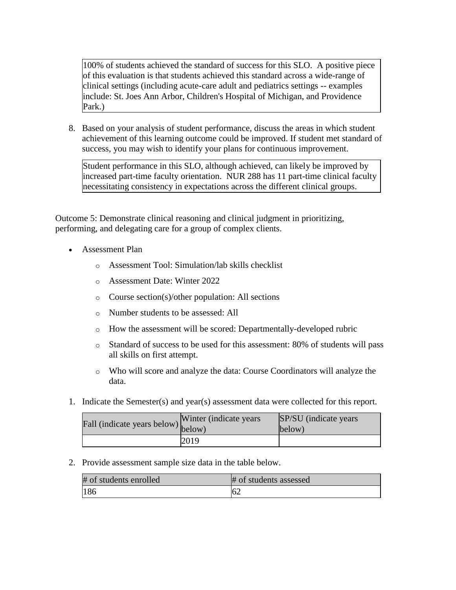100% of students achieved the standard of success for this SLO. A positive piece of this evaluation is that students achieved this standard across a wide-range of clinical settings (including acute-care adult and pediatrics settings -- examples include: St. Joes Ann Arbor, Children's Hospital of Michigan, and Providence Park.)

8. Based on your analysis of student performance, discuss the areas in which student achievement of this learning outcome could be improved. If student met standard of success, you may wish to identify your plans for continuous improvement.

Student performance in this SLO, although achieved, can likely be improved by increased part-time faculty orientation. NUR 288 has 11 part-time clinical faculty necessitating consistency in expectations across the different clinical groups.

Outcome 5: Demonstrate clinical reasoning and clinical judgment in prioritizing, performing, and delegating care for a group of complex clients.

- Assessment Plan
	- o Assessment Tool: Simulation/lab skills checklist
	- o Assessment Date: Winter 2022
	- o Course section(s)/other population: All sections
	- o Number students to be assessed: All
	- o How the assessment will be scored: Departmentally-developed rubric
	- o Standard of success to be used for this assessment: 80% of students will pass all skills on first attempt.
	- o Who will score and analyze the data: Course Coordinators will analyze the data.
- 1. Indicate the Semester(s) and year(s) assessment data were collected for this report.

| $\angle$ all (indicate years below) $\begin{bmatrix} 1 & 1 \\ 1 & 1 \end{bmatrix}$ | Winter (indicate years) | SP/SU (indicate years)<br>$\text{below}$ |
|------------------------------------------------------------------------------------|-------------------------|------------------------------------------|
|                                                                                    | 2019                    |                                          |

#### 2. Provide assessment sample size data in the table below.

| # of students enrolled | # of students assessed |
|------------------------|------------------------|
| 186                    | 62                     |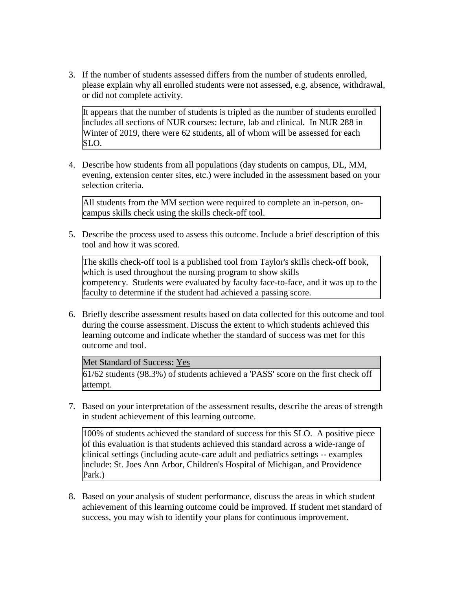3. If the number of students assessed differs from the number of students enrolled, please explain why all enrolled students were not assessed, e.g. absence, withdrawal, or did not complete activity.

It appears that the number of students is tripled as the number of students enrolled includes all sections of NUR courses: lecture, lab and clinical. In NUR 288 in Winter of 2019, there were 62 students, all of whom will be assessed for each SLO.

4. Describe how students from all populations (day students on campus, DL, MM, evening, extension center sites, etc.) were included in the assessment based on your selection criteria.

All students from the MM section were required to complete an in-person, oncampus skills check using the skills check-off tool.

5. Describe the process used to assess this outcome. Include a brief description of this tool and how it was scored.

The skills check-off tool is a published tool from Taylor's skills check-off book, which is used throughout the nursing program to show skills competency. Students were evaluated by faculty face-to-face, and it was up to the faculty to determine if the student had achieved a passing score.

6. Briefly describe assessment results based on data collected for this outcome and tool during the course assessment. Discuss the extent to which students achieved this learning outcome and indicate whether the standard of success was met for this outcome and tool.

#### Met Standard of Success: Yes

61/62 students (98.3%) of students achieved a 'PASS' score on the first check off attempt.

7. Based on your interpretation of the assessment results, describe the areas of strength in student achievement of this learning outcome.

100% of students achieved the standard of success for this SLO. A positive piece of this evaluation is that students achieved this standard across a wide-range of clinical settings (including acute-care adult and pediatrics settings -- examples include: St. Joes Ann Arbor, Children's Hospital of Michigan, and Providence Park.)

8. Based on your analysis of student performance, discuss the areas in which student achievement of this learning outcome could be improved. If student met standard of success, you may wish to identify your plans for continuous improvement.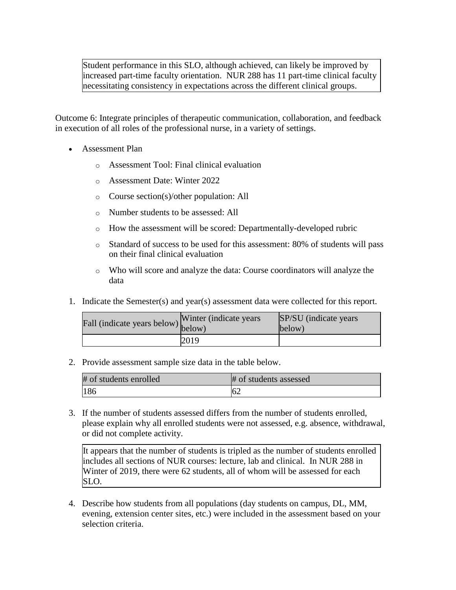Student performance in this SLO, although achieved, can likely be improved by increased part-time faculty orientation. NUR 288 has 11 part-time clinical faculty necessitating consistency in expectations across the different clinical groups.

Outcome 6: Integrate principles of therapeutic communication, collaboration, and feedback in execution of all roles of the professional nurse, in a variety of settings.

- Assessment Plan
	- o Assessment Tool: Final clinical evaluation
	- o Assessment Date: Winter 2022
	- o Course section(s)/other population: All
	- o Number students to be assessed: All
	- o How the assessment will be scored: Departmentally-developed rubric
	- o Standard of success to be used for this assessment: 80% of students will pass on their final clinical evaluation
	- o Who will score and analyze the data: Course coordinators will analyze the data
- 1. Indicate the Semester(s) and year(s) assessment data were collected for this report.

| Fall (indicate years below) below) | Winter (indicate years) | SP/SU (indicate years)<br>below) |
|------------------------------------|-------------------------|----------------------------------|
|                                    | 2019                    |                                  |

2. Provide assessment sample size data in the table below.

| # of students enrolled | # of students assessed |
|------------------------|------------------------|
| 186                    | 62                     |

3. If the number of students assessed differs from the number of students enrolled, please explain why all enrolled students were not assessed, e.g. absence, withdrawal, or did not complete activity.

It appears that the number of students is tripled as the number of students enrolled includes all sections of NUR courses: lecture, lab and clinical. In NUR 288 in Winter of 2019, there were 62 students, all of whom will be assessed for each SLO.

4. Describe how students from all populations (day students on campus, DL, MM, evening, extension center sites, etc.) were included in the assessment based on your selection criteria.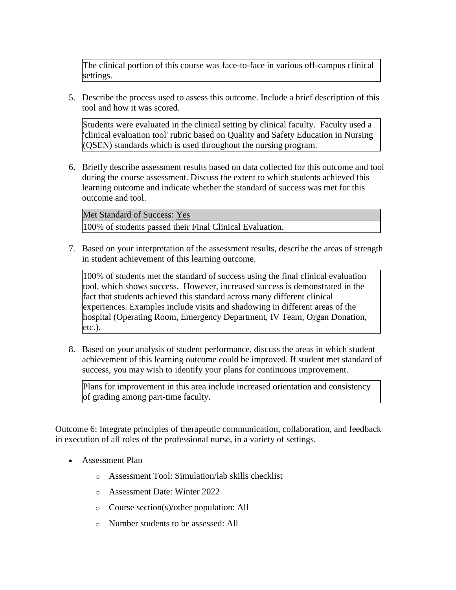The clinical portion of this course was face-to-face in various off-campus clinical settings.

5. Describe the process used to assess this outcome. Include a brief description of this tool and how it was scored.

Students were evaluated in the clinical setting by clinical faculty. Faculty used a 'clinical evaluation tool' rubric based on Quality and Safety Education in Nursing (QSEN) standards which is used throughout the nursing program.

6. Briefly describe assessment results based on data collected for this outcome and tool during the course assessment. Discuss the extent to which students achieved this learning outcome and indicate whether the standard of success was met for this outcome and tool.

Met Standard of Success: Yes 100% of students passed their Final Clinical Evaluation.

7. Based on your interpretation of the assessment results, describe the areas of strength in student achievement of this learning outcome.

100% of students met the standard of success using the final clinical evaluation tool, which shows success. However, increased success is demonstrated in the fact that students achieved this standard across many different clinical experiences. Examples include visits and shadowing in different areas of the hospital (Operating Room, Emergency Department, IV Team, Organ Donation, etc.).

8. Based on your analysis of student performance, discuss the areas in which student achievement of this learning outcome could be improved. If student met standard of success, you may wish to identify your plans for continuous improvement.

Plans for improvement in this area include increased orientation and consistency of grading among part-time faculty.

Outcome 6: Integrate principles of therapeutic communication, collaboration, and feedback in execution of all roles of the professional nurse, in a variety of settings.

- Assessment Plan
	- o Assessment Tool: Simulation/lab skills checklist
	- o Assessment Date: Winter 2022
	- o Course section(s)/other population: All
	- o Number students to be assessed: All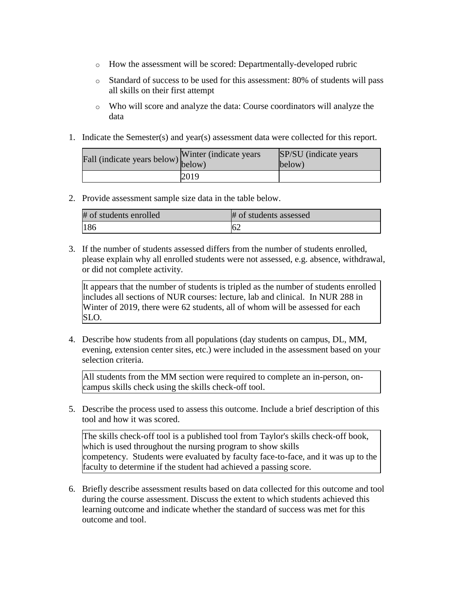- o How the assessment will be scored: Departmentally-developed rubric
- o Standard of success to be used for this assessment: 80% of students will pass all skills on their first attempt
- o Who will score and analyze the data: Course coordinators will analyze the data
- 1. Indicate the Semester(s) and year(s) assessment data were collected for this report.

| rall (indicate years below) below) | Winter (indicate years) | SP/SU (indicate years)<br>below) |
|------------------------------------|-------------------------|----------------------------------|
|                                    | 2019                    |                                  |

| # of students enrolled | # of students assessed |
|------------------------|------------------------|
| 186                    | $16\epsilon$           |

3. If the number of students assessed differs from the number of students enrolled, please explain why all enrolled students were not assessed, e.g. absence, withdrawal, or did not complete activity.

It appears that the number of students is tripled as the number of students enrolled includes all sections of NUR courses: lecture, lab and clinical. In NUR 288 in Winter of 2019, there were 62 students, all of whom will be assessed for each SLO.

4. Describe how students from all populations (day students on campus, DL, MM, evening, extension center sites, etc.) were included in the assessment based on your selection criteria.

All students from the MM section were required to complete an in-person, oncampus skills check using the skills check-off tool.

5. Describe the process used to assess this outcome. Include a brief description of this tool and how it was scored.

The skills check-off tool is a published tool from Taylor's skills check-off book, which is used throughout the nursing program to show skills competency. Students were evaluated by faculty face-to-face, and it was up to the faculty to determine if the student had achieved a passing score.

6. Briefly describe assessment results based on data collected for this outcome and tool during the course assessment. Discuss the extent to which students achieved this learning outcome and indicate whether the standard of success was met for this outcome and tool.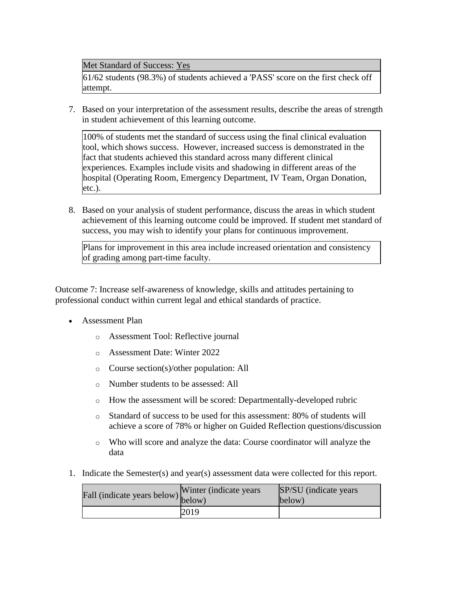Met Standard of Success: Yes

61/62 students (98.3%) of students achieved a 'PASS' score on the first check off attempt.

7. Based on your interpretation of the assessment results, describe the areas of strength in student achievement of this learning outcome.

100% of students met the standard of success using the final clinical evaluation tool, which shows success. However, increased success is demonstrated in the fact that students achieved this standard across many different clinical experiences. Examples include visits and shadowing in different areas of the hospital (Operating Room, Emergency Department, IV Team, Organ Donation, etc.).

8. Based on your analysis of student performance, discuss the areas in which student achievement of this learning outcome could be improved. If student met standard of success, you may wish to identify your plans for continuous improvement.

Plans for improvement in this area include increased orientation and consistency of grading among part-time faculty.

Outcome 7: Increase self-awareness of knowledge, skills and attitudes pertaining to professional conduct within current legal and ethical standards of practice.

- Assessment Plan
	- o Assessment Tool: Reflective journal
	- o Assessment Date: Winter 2022
	- o Course section(s)/other population: All
	- o Number students to be assessed: All
	- o How the assessment will be scored: Departmentally-developed rubric
	- o Standard of success to be used for this assessment: 80% of students will achieve a score of 78% or higher on Guided Reflection questions/discussion
	- o Who will score and analyze the data: Course coordinator will analyze the data
- 1. Indicate the Semester(s) and year(s) assessment data were collected for this report.

| riall (indicate years below) below) | Winter (indicate years) | SP/SU (indicate years)<br>below) |
|-------------------------------------|-------------------------|----------------------------------|
|                                     | 2019                    |                                  |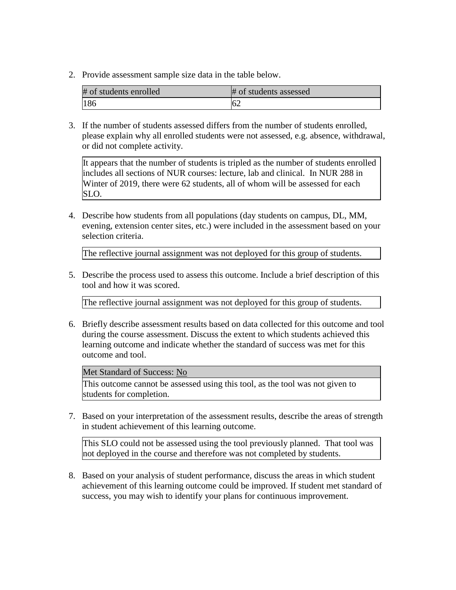| # of students enrolled | # of students assessed |
|------------------------|------------------------|
| 186                    | 62                     |

3. If the number of students assessed differs from the number of students enrolled, please explain why all enrolled students were not assessed, e.g. absence, withdrawal, or did not complete activity.

It appears that the number of students is tripled as the number of students enrolled includes all sections of NUR courses: lecture, lab and clinical. In NUR 288 in Winter of 2019, there were 62 students, all of whom will be assessed for each SLO.

4. Describe how students from all populations (day students on campus, DL, MM, evening, extension center sites, etc.) were included in the assessment based on your selection criteria.

The reflective journal assignment was not deployed for this group of students.

5. Describe the process used to assess this outcome. Include a brief description of this tool and how it was scored.

The reflective journal assignment was not deployed for this group of students.

6. Briefly describe assessment results based on data collected for this outcome and tool during the course assessment. Discuss the extent to which students achieved this learning outcome and indicate whether the standard of success was met for this outcome and tool.

Met Standard of Success: No

This outcome cannot be assessed using this tool, as the tool was not given to students for completion.

7. Based on your interpretation of the assessment results, describe the areas of strength in student achievement of this learning outcome.

This SLO could not be assessed using the tool previously planned. That tool was not deployed in the course and therefore was not completed by students.

8. Based on your analysis of student performance, discuss the areas in which student achievement of this learning outcome could be improved. If student met standard of success, you may wish to identify your plans for continuous improvement.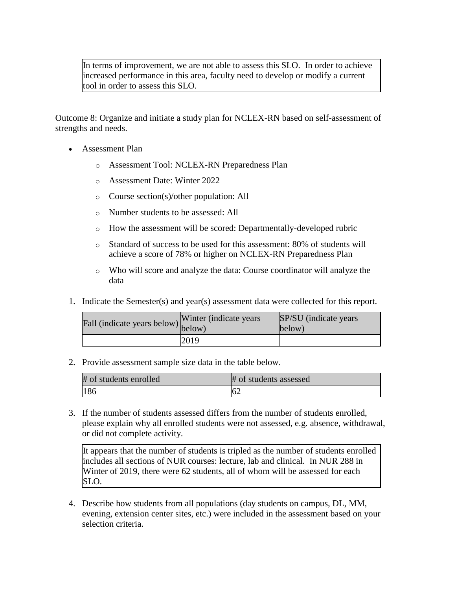In terms of improvement, we are not able to assess this SLO. In order to achieve increased performance in this area, faculty need to develop or modify a current tool in order to assess this SLO.

Outcome 8: Organize and initiate a study plan for NCLEX-RN based on self-assessment of strengths and needs.

- Assessment Plan
	- o Assessment Tool: NCLEX-RN Preparedness Plan
	- o Assessment Date: Winter 2022
	- o Course section(s)/other population: All
	- o Number students to be assessed: All
	- o How the assessment will be scored: Departmentally-developed rubric
	- o Standard of success to be used for this assessment: 80% of students will achieve a score of 78% or higher on NCLEX-RN Preparedness Plan
	- o Who will score and analyze the data: Course coordinator will analyze the data
- 1. Indicate the Semester(s) and year(s) assessment data were collected for this report.

| Fall (indicate years below) below) | Winter (indicate years) | SP/SU (indicate years)<br>below) |
|------------------------------------|-------------------------|----------------------------------|
|                                    | 2019                    |                                  |

2. Provide assessment sample size data in the table below.

| # of students enrolled | # of students assessed |
|------------------------|------------------------|
| 186                    | 62                     |

3. If the number of students assessed differs from the number of students enrolled, please explain why all enrolled students were not assessed, e.g. absence, withdrawal, or did not complete activity.

It appears that the number of students is tripled as the number of students enrolled includes all sections of NUR courses: lecture, lab and clinical. In NUR 288 in Winter of 2019, there were 62 students, all of whom will be assessed for each SLO.

4. Describe how students from all populations (day students on campus, DL, MM, evening, extension center sites, etc.) were included in the assessment based on your selection criteria.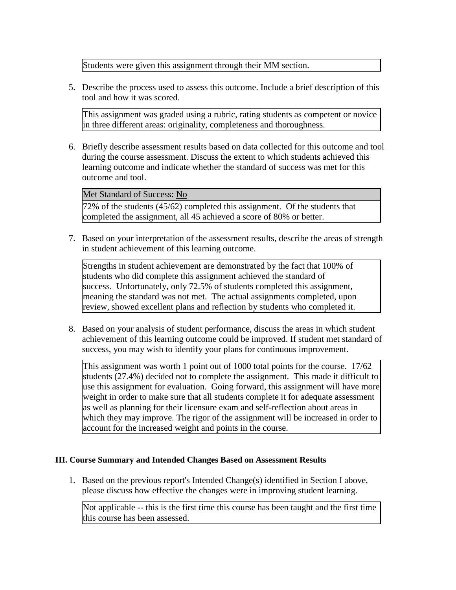Students were given this assignment through their MM section.

5. Describe the process used to assess this outcome. Include a brief description of this tool and how it was scored.

This assignment was graded using a rubric, rating students as competent or novice in three different areas: originality, completeness and thoroughness.

6. Briefly describe assessment results based on data collected for this outcome and tool during the course assessment. Discuss the extent to which students achieved this learning outcome and indicate whether the standard of success was met for this outcome and tool.

### Met Standard of Success: No

72% of the students (45/62) completed this assignment. Of the students that completed the assignment, all 45 achieved a score of 80% or better.

7. Based on your interpretation of the assessment results, describe the areas of strength in student achievement of this learning outcome.

Strengths in student achievement are demonstrated by the fact that 100% of students who did complete this assignment achieved the standard of success. Unfortunately, only 72.5% of students completed this assignment, meaning the standard was not met. The actual assignments completed, upon review, showed excellent plans and reflection by students who completed it.

8. Based on your analysis of student performance, discuss the areas in which student achievement of this learning outcome could be improved. If student met standard of success, you may wish to identify your plans for continuous improvement.

This assignment was worth 1 point out of 1000 total points for the course. 17/62 students (27.4%) decided not to complete the assignment. This made it difficult to use this assignment for evaluation. Going forward, this assignment will have more weight in order to make sure that all students complete it for adequate assessment as well as planning for their licensure exam and self-reflection about areas in which they may improve. The rigor of the assignment will be increased in order to account for the increased weight and points in the course.

## **III. Course Summary and Intended Changes Based on Assessment Results**

1. Based on the previous report's Intended Change(s) identified in Section I above, please discuss how effective the changes were in improving student learning.

Not applicable -- this is the first time this course has been taught and the first time this course has been assessed.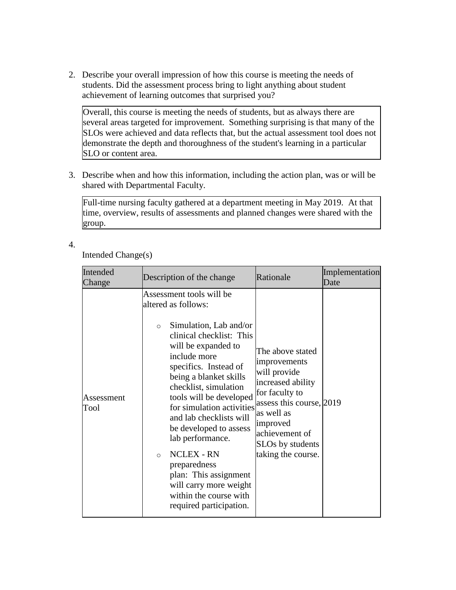2. Describe your overall impression of how this course is meeting the needs of students. Did the assessment process bring to light anything about student achievement of learning outcomes that surprised you?

Overall, this course is meeting the needs of students, but as always there are several areas targeted for improvement. Something surprising is that many of the SLOs were achieved and data reflects that, but the actual assessment tool does not demonstrate the depth and thoroughness of the student's learning in a particular SLO or content area.

3. Describe when and how this information, including the action plan, was or will be shared with Departmental Faculty.

Full-time nursing faculty gathered at a department meeting in May 2019. At that time, overview, results of assessments and planned changes were shared with the group.

## 4.

Intended Change(s)

| Intended<br>Change | Description of the change                                                                                                                                                                                                                                                                                                                                                                                                                                                                                                    | Rationale                                                                                                                                                                                                 | Implementation<br>Date |
|--------------------|------------------------------------------------------------------------------------------------------------------------------------------------------------------------------------------------------------------------------------------------------------------------------------------------------------------------------------------------------------------------------------------------------------------------------------------------------------------------------------------------------------------------------|-----------------------------------------------------------------------------------------------------------------------------------------------------------------------------------------------------------|------------------------|
| Assessment<br>Tool | Assessment tools will be<br>altered as follows:<br>Simulation, Lab and/or<br>$\circ$<br>clinical checklist: This<br>will be expanded to<br>include more<br>specifics. Instead of<br>being a blanket skills<br>checklist, simulation<br>tools will be developed<br>for simulation activities<br>and lab checklists will<br>be developed to assess<br>lab performance.<br><b>NCLEX - RN</b><br>$\circ$<br>preparedness<br>plan: This assignment<br>will carry more weight<br>within the course with<br>required participation. | The above stated<br>improvements<br>will provide<br>increased ability<br>for faculty to<br>assess this course, 2019<br>as well as<br>improved<br>achievement of<br>SLOs by students<br>taking the course. |                        |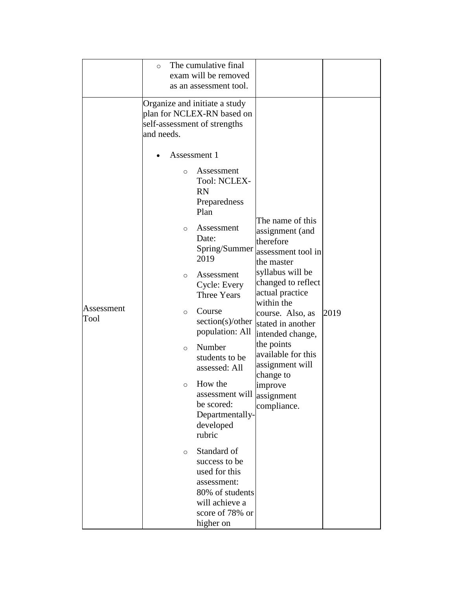|                    | The cumulative final<br>$\circ$                                                                                                                                                                                                                                                                                                                                            |                                                                                                                                                                                                          |      |
|--------------------|----------------------------------------------------------------------------------------------------------------------------------------------------------------------------------------------------------------------------------------------------------------------------------------------------------------------------------------------------------------------------|----------------------------------------------------------------------------------------------------------------------------------------------------------------------------------------------------------|------|
|                    | exam will be removed                                                                                                                                                                                                                                                                                                                                                       |                                                                                                                                                                                                          |      |
|                    | as an assessment tool.                                                                                                                                                                                                                                                                                                                                                     |                                                                                                                                                                                                          |      |
| Assessment<br>Tool | Organize and initiate a study<br>plan for NCLEX-RN based on<br>self-assessment of strengths<br>and needs.<br>Assessment 1<br>Assessment<br>$\circ$<br>Tool: NCLEX-<br><b>RN</b><br>Preparedness<br>Plan<br>Assessment<br>$\circ$<br>Date:<br>Spring/Summer<br>2019<br>Assessment<br>$\circ$<br>Cycle: Every<br><b>Three Years</b><br>Course<br>$\circ$<br>section(s)/other | The name of this<br>assignment (and<br>therefore<br>assessment tool in<br>the master<br>syllabus will be<br>changed to reflect<br>actual practice<br>within the<br>course. Also, as<br>stated in another | 2019 |
|                    | population: All<br>Number<br>$\Omega$<br>students to be<br>assessed: All                                                                                                                                                                                                                                                                                                   | intended change,<br>the points<br>available for this<br>assignment will                                                                                                                                  |      |
|                    | How the<br>$\circ$<br>be scored:<br>rubric                                                                                                                                                                                                                                                                                                                                 | change to<br>improve<br>assessment will assignment<br>compliance.<br>Departmentally-<br>developed                                                                                                        |      |
|                    | Standard of<br>$\circ$<br>success to be<br>used for this<br>assessment:<br>80% of students<br>will achieve a<br>score of 78% or<br>higher on                                                                                                                                                                                                                               |                                                                                                                                                                                                          |      |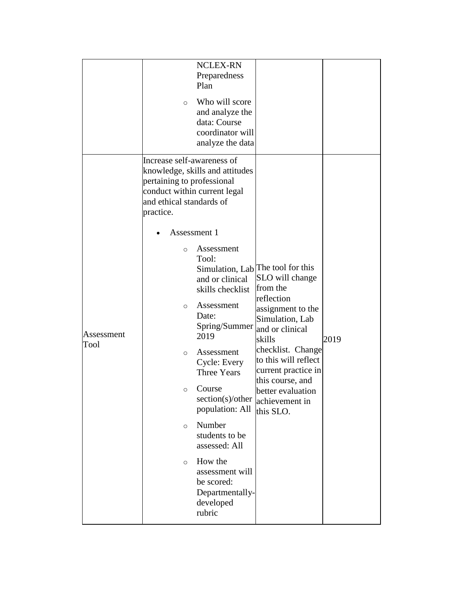|                    |                                                                                                   | <b>NCLEX-RN</b><br>Preparedness                                                                                                                                                                                                                                                                                                                    |                                                                                                                                                                                                                                                                                                            |      |
|--------------------|---------------------------------------------------------------------------------------------------|----------------------------------------------------------------------------------------------------------------------------------------------------------------------------------------------------------------------------------------------------------------------------------------------------------------------------------------------------|------------------------------------------------------------------------------------------------------------------------------------------------------------------------------------------------------------------------------------------------------------------------------------------------------------|------|
|                    | $\circ$                                                                                           | Plan<br>Who will score<br>and analyze the<br>data: Course<br>coordinator will<br>analyze the data                                                                                                                                                                                                                                                  |                                                                                                                                                                                                                                                                                                            |      |
|                    | Increase self-awareness of<br>pertaining to professional<br>and ethical standards of<br>practice. | knowledge, skills and attitudes<br>conduct within current legal<br>Assessment 1                                                                                                                                                                                                                                                                    |                                                                                                                                                                                                                                                                                                            |      |
| Assessment<br>Tool | $\circ$<br>$\circ$<br>$\circ$<br>$\circ$<br>$\circ$<br>$\circ$                                    | Assessment<br>Tool:<br>and or clinical<br>skills checklist<br>Assessment<br>Date:<br>Spring/Summer<br>2019<br>Assessment<br>Cycle: Every<br><b>Three Years</b><br>Course<br>section(s)/other<br>population: All<br>Number<br>students to be<br>assessed: All<br>How the<br>assessment will<br>be scored:<br>Departmentally-<br>developed<br>rubric | Simulation, Lab <sup>The</sup> tool for this<br>SLO will change<br>from the<br>reflection<br>assignment to the<br>Simulation, Lab<br>and or clinical<br>skills<br>checklist. Change<br>to this will reflect<br>current practice in<br>this course, and<br>better evaluation<br>achievement in<br>this SLO. | 2019 |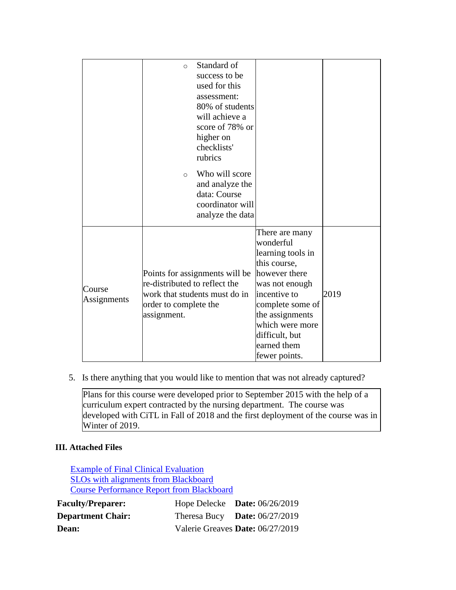|                       | $\Omega$<br>$\circ$                                                   | Standard of<br>success to be<br>used for this<br>assessment:<br>80% of students<br>will achieve a<br>score of 78% or<br>higher on<br>checklists'<br>rubrics<br>Who will score<br>and analyze the<br>data: Course<br>coordinator will<br>analyze the data |                                                                                                                                                                                                                                 |      |
|-----------------------|-----------------------------------------------------------------------|----------------------------------------------------------------------------------------------------------------------------------------------------------------------------------------------------------------------------------------------------------|---------------------------------------------------------------------------------------------------------------------------------------------------------------------------------------------------------------------------------|------|
| Course<br>Assignments | re-distributed to reflect the<br>order to complete the<br>assignment. | Points for assignments will be<br>work that students must do in                                                                                                                                                                                          | There are many<br>wonderful<br>learning tools in<br>this course,<br>however there<br>was not enough<br>incentive to<br>complete some of<br>the assignments<br>which were more<br>difficult, but<br>earned them<br>fewer points. | 2019 |

5. Is there anything that you would like to mention that was not already captured?

Plans for this course were developed prior to September 2015 with the help of a curriculum expert contracted by the nursing department. The course was developed with CiTL in Fall of 2018 and the first deployment of the course was in Winter of 2019.

# **III. Attached Files**

| <b>Example of Final Clinical Evaluation</b><br><b>SLOs with alignments from Blackboard</b><br><b>Course Performance Report from Blackboard</b> |  |                                  |
|------------------------------------------------------------------------------------------------------------------------------------------------|--|----------------------------------|
| <b>Faculty/Preparer:</b>                                                                                                                       |  | Hope Delecke Date: $06/26/2019$  |
| <b>Department Chair:</b>                                                                                                                       |  | Theresa Bucy Date: $06/27/2019$  |
| <b>Dean:</b>                                                                                                                                   |  | Valerie Greaves Date: 06/27/2019 |